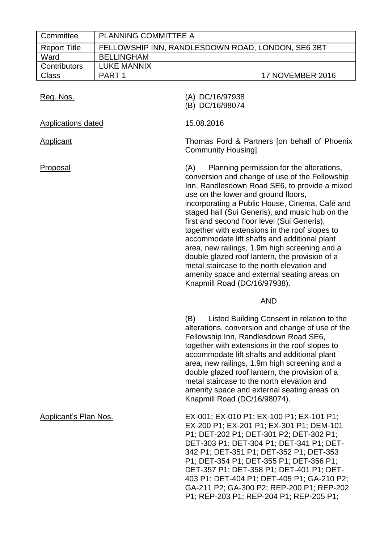| Committee                    | PLANNING COMMITTEE A |                                                                                                                                                                                                                                                                                                                                                                                                                                                                                                                                                                                                                                                                                 |
|------------------------------|----------------------|---------------------------------------------------------------------------------------------------------------------------------------------------------------------------------------------------------------------------------------------------------------------------------------------------------------------------------------------------------------------------------------------------------------------------------------------------------------------------------------------------------------------------------------------------------------------------------------------------------------------------------------------------------------------------------|
| <b>Report Title</b>          |                      | FELLOWSHIP INN, RANDLESDOWN ROAD, LONDON, SE6 3BT                                                                                                                                                                                                                                                                                                                                                                                                                                                                                                                                                                                                                               |
| Ward                         | <b>BELLINGHAM</b>    |                                                                                                                                                                                                                                                                                                                                                                                                                                                                                                                                                                                                                                                                                 |
| Contributors                 | <b>LUKE MANNIX</b>   |                                                                                                                                                                                                                                                                                                                                                                                                                                                                                                                                                                                                                                                                                 |
| <b>Class</b>                 | PART <sub>1</sub>    | 17 NOVEMBER 2016                                                                                                                                                                                                                                                                                                                                                                                                                                                                                                                                                                                                                                                                |
| Reg. Nos.                    |                      | (A) DC/16/97938<br>(B) DC/16/98074                                                                                                                                                                                                                                                                                                                                                                                                                                                                                                                                                                                                                                              |
| Applications dated           |                      | 15.08.2016                                                                                                                                                                                                                                                                                                                                                                                                                                                                                                                                                                                                                                                                      |
| <b>Applicant</b>             |                      | Thomas Ford & Partners [on behalf of Phoenix<br><b>Community Housing]</b>                                                                                                                                                                                                                                                                                                                                                                                                                                                                                                                                                                                                       |
| Proposal                     |                      | Planning permission for the alterations,<br>(A)<br>conversion and change of use of the Fellowship<br>Inn, Randlesdown Road SE6, to provide a mixed<br>use on the lower and ground floors,<br>incorporating a Public House, Cinema, Café and<br>staged hall (Sui Generis), and music hub on the<br>first and second floor level (Sui Generis),<br>together with extensions in the roof slopes to<br>accommodate lift shafts and additional plant<br>area, new railings, 1.9m high screening and a<br>double glazed roof lantern, the provision of a<br>metal staircase to the north elevation and<br>amenity space and external seating areas on<br>Knapmill Road (DC/16/97938). |
|                              |                      | <b>AND</b>                                                                                                                                                                                                                                                                                                                                                                                                                                                                                                                                                                                                                                                                      |
|                              |                      | (B)<br>Listed Building Consent in relation to the<br>alterations, conversion and change of use of the<br>Fellowship Inn, Randlesdown Road SE6,<br>together with extensions in the roof slopes to<br>accommodate lift shafts and additional plant<br>area, new railings, 1.9m high screening and a<br>double glazed roof lantern, the provision of a<br>metal staircase to the north elevation and<br>amenity space and external seating areas on<br>Knapmill Road (DC/16/98074).                                                                                                                                                                                                |
| <b>Applicant's Plan Nos.</b> |                      | EX-001; EX-010 P1; EX-100 P1; EX-101 P1;<br>EX-200 P1; EX-201 P1; EX-301 P1; DEM-101<br>P1; DET-202 P1; DET-301 P2; DET-302 P1;<br>DET-303 P1; DET-304 P1; DET-341 P1; DET-<br>342 P1; DET-351 P1; DET-352 P1; DET-353<br>P1; DET-354 P1; DET-355 P1; DET-356 P1;<br>DET-357 P1; DET-358 P1; DET-401 P1; DET-<br>403 P1; DET-404 P1; DET-405 P1; GA-210 P2;<br>GA-211 P2; GA-300 P2; REP-200 P1; REP-202<br>P1; REP-203 P1; REP-204 P1; REP-205 P1;                                                                                                                                                                                                                             |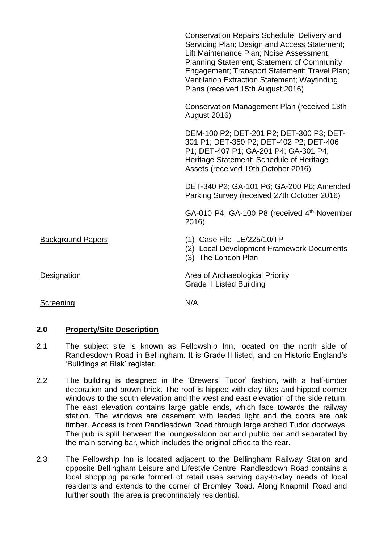|                          | Conservation Repairs Schedule; Delivery and<br>Servicing Plan; Design and Access Statement;<br>Lift Maintenance Plan; Noise Assessment;<br><b>Planning Statement; Statement of Community</b><br>Engagement; Transport Statement; Travel Plan;<br><b>Ventilation Extraction Statement; Wayfinding</b><br>Plans (received 15th August 2016) |
|--------------------------|-------------------------------------------------------------------------------------------------------------------------------------------------------------------------------------------------------------------------------------------------------------------------------------------------------------------------------------------|
|                          | Conservation Management Plan (received 13th<br><b>August 2016)</b>                                                                                                                                                                                                                                                                        |
|                          | DEM-100 P2; DET-201 P2; DET-300 P3; DET-<br>301 P1; DET-350 P2; DET-402 P2; DET-406<br>P1; DET-407 P1; GA-201 P4; GA-301 P4;<br>Heritage Statement; Schedule of Heritage<br>Assets (received 19th October 2016)                                                                                                                           |
|                          | DET-340 P2; GA-101 P6; GA-200 P6; Amended<br>Parking Survey (received 27th October 2016)                                                                                                                                                                                                                                                  |
|                          | GA-010 P4; GA-100 P8 (received 4th November<br>2016)                                                                                                                                                                                                                                                                                      |
| <b>Background Papers</b> | $(1)$ Case File LE/225/10/TP<br>(2) Local Development Framework Documents<br>(3) The London Plan                                                                                                                                                                                                                                          |
| <b>Designation</b>       | Area of Archaeological Priority<br><b>Grade II Listed Building</b>                                                                                                                                                                                                                                                                        |
| Screening                | N/A                                                                                                                                                                                                                                                                                                                                       |

## **2.0 Property/Site Description**

- 2.1 The subject site is known as Fellowship Inn, located on the north side of Randlesdown Road in Bellingham. It is Grade II listed, and on Historic England's 'Buildings at Risk' register.
- 2.2 The building is designed in the 'Brewers' Tudor' fashion, with a half-timber decoration and brown brick. The roof is hipped with clay tiles and hipped dormer windows to the south elevation and the west and east elevation of the side return. The east elevation contains large gable ends, which face towards the railway station. The windows are casement with leaded light and the doors are oak timber. Access is from Randlesdown Road through large arched Tudor doorways. The pub is split between the lounge/saloon bar and public bar and separated by the main serving bar, which includes the original office to the rear.
- 2.3 The Fellowship Inn is located adjacent to the Bellingham Railway Station and opposite Bellingham Leisure and Lifestyle Centre. Randlesdown Road contains a local shopping parade formed of retail uses serving day-to-day needs of local residents and extends to the corner of Bromley Road. Along Knapmill Road and further south, the area is predominately residential.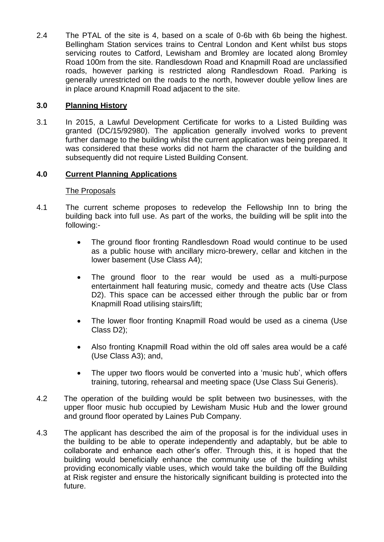2.4 The PTAL of the site is 4, based on a scale of 0-6b with 6b being the highest. Bellingham Station services trains to Central London and Kent whilst bus stops servicing routes to Catford, Lewisham and Bromley are located along Bromley Road 100m from the site. Randlesdown Road and Knapmill Road are unclassified roads, however parking is restricted along Randlesdown Road. Parking is generally unrestricted on the roads to the north, however double yellow lines are in place around Knapmill Road adjacent to the site.

# **3.0 Planning History**

3.1 In 2015, a Lawful Development Certificate for works to a Listed Building was granted (DC/15/92980). The application generally involved works to prevent further damage to the building whilst the current application was being prepared. It was considered that these works did not harm the character of the building and subsequently did not require Listed Building Consent.

# **4.0 Current Planning Applications**

### The Proposals

- 4.1 The current scheme proposes to redevelop the Fellowship Inn to bring the building back into full use. As part of the works, the building will be split into the following:-
	- The ground floor fronting Randlesdown Road would continue to be used as a public house with ancillary micro-brewery, cellar and kitchen in the lower basement (Use Class A4);
	- The ground floor to the rear would be used as a multi-purpose entertainment hall featuring music, comedy and theatre acts (Use Class D2). This space can be accessed either through the public bar or from Knapmill Road utilising stairs/lift;
	- The lower floor fronting Knapmill Road would be used as a cinema (Use Class D2);
	- Also fronting Knapmill Road within the old off sales area would be a café (Use Class A3); and,
	- The upper two floors would be converted into a 'music hub', which offers training, tutoring, rehearsal and meeting space (Use Class Sui Generis).
- 4.2 The operation of the building would be split between two businesses, with the upper floor music hub occupied by Lewisham Music Hub and the lower ground and ground floor operated by Laines Pub Company.
- 4.3 The applicant has described the aim of the proposal is for the individual uses in the building to be able to operate independently and adaptably, but be able to collaborate and enhance each other's offer. Through this, it is hoped that the building would beneficially enhance the community use of the building whilst providing economically viable uses, which would take the building off the Building at Risk register and ensure the historically significant building is protected into the future.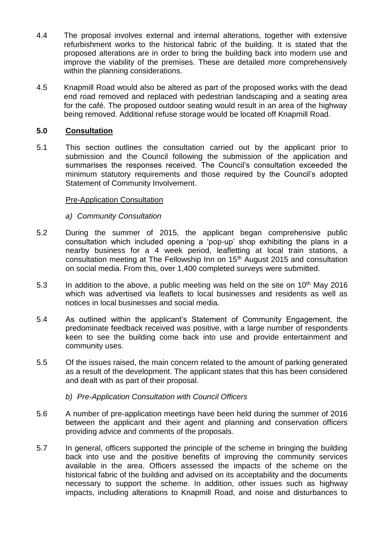- 4.4 The proposal involves external and internal alterations, together with extensive refurbishment works to the historical fabric of the building. It is stated that the proposed alterations are in order to bring the building back into modern use and improve the viability of the premises. These are detailed more comprehensively within the planning considerations.
- 4.5 Knapmill Road would also be altered as part of the proposed works with the dead end road removed and replaced with pedestrian landscaping and a seating area for the café. The proposed outdoor seating would result in an area of the highway being removed. Additional refuse storage would be located off Knapmill Road.

# **5.0 Consultation**

5.1 This section outlines the consultation carried out by the applicant prior to submission and the Council following the submission of the application and summarises the responses received. The Council's consultation exceeded the minimum statutory requirements and those required by the Council's adopted Statement of Community Involvement.

## Pre-Application Consultation

- *a) Community Consultation*
- 5.2 During the summer of 2015, the applicant began comprehensive public consultation which included opening a 'pop-up' shop exhibiting the plans in a nearby business for a 4 week period, leafletting at local train stations, a consultation meeting at The Fellowship Inn on 15th August 2015 and consultation on social media. From this, over 1,400 completed surveys were submitted.
- 5.3 In addition to the above, a public meeting was held on the site on  $10^{th}$  May 2016 which was advertised via leaflets to local businesses and residents as well as notices in local businesses and social media.
- 5.4 As outlined within the applicant's Statement of Community Engagement, the predominate feedback received was positive, with a large number of respondents keen to see the building come back into use and provide entertainment and community uses.
- 5.5 Of the issues raised, the main concern related to the amount of parking generated as a result of the development. The applicant states that this has been considered and dealt with as part of their proposal.
	- *b) Pre-Application Consultation with Council Officers*
- 5.6 A number of pre-application meetings have been held during the summer of 2016 between the applicant and their agent and planning and conservation officers providing advice and comments of the proposals.
- 5.7 In general, officers supported the principle of the scheme in bringing the building back into use and the positive benefits of improving the community services available in the area. Officers assessed the impacts of the scheme on the historical fabric of the building and advised on its acceptability and the documents necessary to support the scheme. In addition, other issues such as highway impacts, including alterations to Knapmill Road, and noise and disturbances to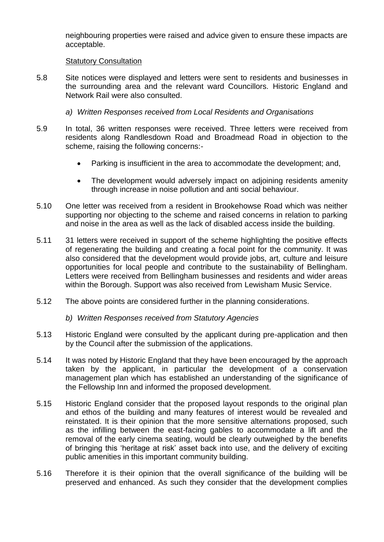neighbouring properties were raised and advice given to ensure these impacts are acceptable.

### Statutory Consultation

- 5.8 Site notices were displayed and letters were sent to residents and businesses in the surrounding area and the relevant ward Councillors. Historic England and Network Rail were also consulted.
	- *a) Written Responses received from Local Residents and Organisations*
- 5.9 In total, 36 written responses were received. Three letters were received from residents along Randlesdown Road and Broadmead Road in objection to the scheme, raising the following concerns:-
	- Parking is insufficient in the area to accommodate the development; and,
	- The development would adversely impact on adjoining residents amenity through increase in noise pollution and anti social behaviour.
- 5.10 One letter was received from a resident in Brookehowse Road which was neither supporting nor objecting to the scheme and raised concerns in relation to parking and noise in the area as well as the lack of disabled access inside the building.
- 5.11 31 letters were received in support of the scheme highlighting the positive effects of regenerating the building and creating a focal point for the community. It was also considered that the development would provide jobs, art, culture and leisure opportunities for local people and contribute to the sustainability of Bellingham. Letters were received from Bellingham businesses and residents and wider areas within the Borough. Support was also received from Lewisham Music Service.
- 5.12 The above points are considered further in the planning considerations.
	- *b) Written Responses received from Statutory Agencies*
- 5.13 Historic England were consulted by the applicant during pre-application and then by the Council after the submission of the applications.
- 5.14 It was noted by Historic England that they have been encouraged by the approach taken by the applicant, in particular the development of a conservation management plan which has established an understanding of the significance of the Fellowship Inn and informed the proposed development.
- 5.15 Historic England consider that the proposed layout responds to the original plan and ethos of the building and many features of interest would be revealed and reinstated. It is their opinion that the more sensitive alternations proposed, such as the infilling between the east-facing gables to accommodate a lift and the removal of the early cinema seating, would be clearly outweighed by the benefits of bringing this 'heritage at risk' asset back into use, and the delivery of exciting public amenities in this important community building.
- 5.16 Therefore it is their opinion that the overall significance of the building will be preserved and enhanced. As such they consider that the development complies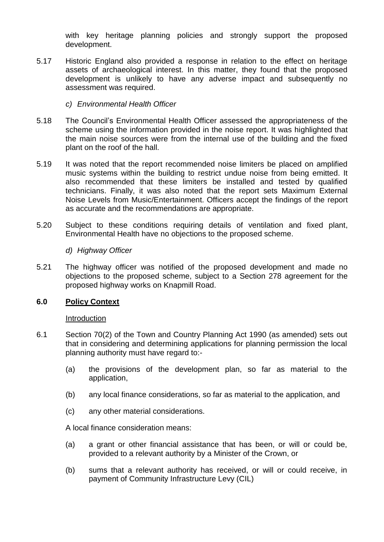with key heritage planning policies and strongly support the proposed development.

- 5.17 Historic England also provided a response in relation to the effect on heritage assets of archaeological interest. In this matter, they found that the proposed development is unlikely to have any adverse impact and subsequently no assessment was required.
	- *c) Environmental Health Officer*
- 5.18 The Council's Environmental Health Officer assessed the appropriateness of the scheme using the information provided in the noise report. It was highlighted that the main noise sources were from the internal use of the building and the fixed plant on the roof of the hall.
- 5.19 It was noted that the report recommended noise limiters be placed on amplified music systems within the building to restrict undue noise from being emitted. It also recommended that these limiters be installed and tested by qualified technicians. Finally, it was also noted that the report sets Maximum External Noise Levels from Music/Entertainment. Officers accept the findings of the report as accurate and the recommendations are appropriate.
- 5.20 Subject to these conditions requiring details of ventilation and fixed plant, Environmental Health have no objections to the proposed scheme.
	- *d) Highway Officer*
- 5.21 The highway officer was notified of the proposed development and made no objections to the proposed scheme, subject to a Section 278 agreement for the proposed highway works on Knapmill Road.

## **6.0 Policy Context**

#### Introduction

- 6.1 Section 70(2) of the Town and Country Planning Act 1990 (as amended) sets out that in considering and determining applications for planning permission the local planning authority must have regard to:-
	- (a) the provisions of the development plan, so far as material to the application,
	- (b) any local finance considerations, so far as material to the application, and
	- (c) any other material considerations.

A local finance consideration means:

- (a) a grant or other financial assistance that has been, or will or could be, provided to a relevant authority by a Minister of the Crown, or
- (b) sums that a relevant authority has received, or will or could receive, in payment of Community Infrastructure Levy (CIL)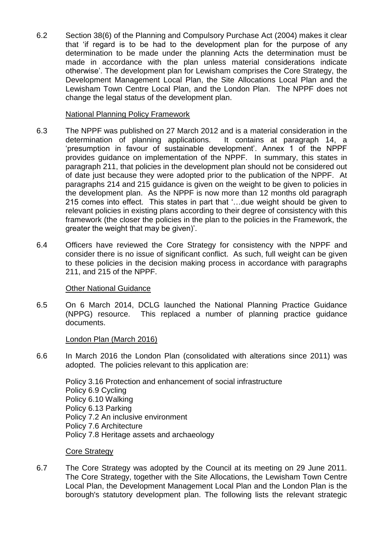6.2 Section 38(6) of the Planning and Compulsory Purchase Act (2004) makes it clear that 'if regard is to be had to the development plan for the purpose of any determination to be made under the planning Acts the determination must be made in accordance with the plan unless material considerations indicate otherwise'. The development plan for Lewisham comprises the Core Strategy, the Development Management Local Plan, the Site Allocations Local Plan and the Lewisham Town Centre Local Plan, and the London Plan. The NPPF does not change the legal status of the development plan.

### National Planning Policy Framework

- 6.3 The NPPF was published on 27 March 2012 and is a material consideration in the determination of planning applications. It contains at paragraph 14, a 'presumption in favour of sustainable development'. Annex 1 of the NPPF provides guidance on implementation of the NPPF. In summary, this states in paragraph 211, that policies in the development plan should not be considered out of date just because they were adopted prior to the publication of the NPPF. At paragraphs 214 and 215 guidance is given on the weight to be given to policies in the development plan. As the NPPF is now more than 12 months old paragraph 215 comes into effect. This states in part that '…due weight should be given to relevant policies in existing plans according to their degree of consistency with this framework (the closer the policies in the plan to the policies in the Framework, the greater the weight that may be given)'.
- 6.4 Officers have reviewed the Core Strategy for consistency with the NPPF and consider there is no issue of significant conflict. As such, full weight can be given to these policies in the decision making process in accordance with paragraphs 211, and 215 of the NPPF.

## Other National Guidance

6.5 On 6 March 2014, DCLG launched the National Planning Practice Guidance (NPPG) resource. This replaced a number of planning practice guidance documents.

#### London Plan (March 2016)

6.6 In March 2016 the London Plan (consolidated with alterations since 2011) was adopted. The policies relevant to this application are:

Policy 3.16 Protection and enhancement of social infrastructure Policy 6.9 Cycling Policy 6.10 Walking Policy 6.13 Parking Policy 7.2 An inclusive environment Policy 7.6 Architecture Policy 7.8 Heritage assets and archaeology

#### Core Strategy

6.7 The Core Strategy was adopted by the Council at its meeting on 29 June 2011. The Core Strategy, together with the Site Allocations, the Lewisham Town Centre Local Plan, the Development Management Local Plan and the London Plan is the borough's statutory development plan. The following lists the relevant strategic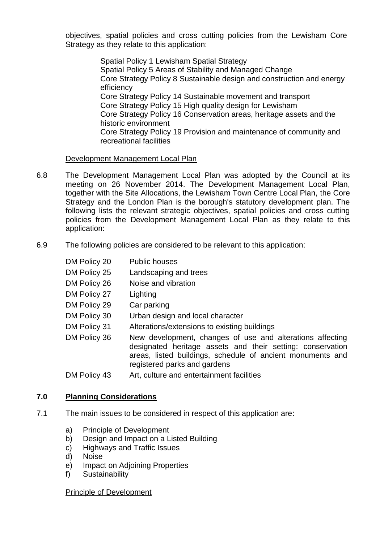objectives, spatial policies and cross cutting policies from the Lewisham Core Strategy as they relate to this application:

> Spatial Policy 1 Lewisham Spatial Strategy Spatial Policy 5 Areas of Stability and Managed Change Core Strategy Policy 8 Sustainable design and construction and energy efficiency Core Strategy Policy 14 Sustainable movement and transport Core Strategy Policy 15 High quality design for Lewisham Core Strategy Policy 16 Conservation areas, heritage assets and the historic environment Core Strategy Policy 19 Provision and maintenance of community and recreational facilities

Development Management Local Plan

- 6.8 The Development Management Local Plan was adopted by the Council at its meeting on 26 November 2014. The Development Management Local Plan, together with the Site Allocations, the Lewisham Town Centre Local Plan, the Core Strategy and the London Plan is the borough's statutory development plan. The following lists the relevant strategic objectives, spatial policies and cross cutting policies from the Development Management Local Plan as they relate to this application:
- 6.9 The following policies are considered to be relevant to this application:

| DM Policy 20 | <b>Public houses</b>                                                                                                                                                                                                  |
|--------------|-----------------------------------------------------------------------------------------------------------------------------------------------------------------------------------------------------------------------|
| DM Policy 25 | Landscaping and trees                                                                                                                                                                                                 |
| DM Policy 26 | Noise and vibration                                                                                                                                                                                                   |
| DM Policy 27 | Lighting                                                                                                                                                                                                              |
| DM Policy 29 | Car parking                                                                                                                                                                                                           |
| DM Policy 30 | Urban design and local character                                                                                                                                                                                      |
| DM Policy 31 | Alterations/extensions to existing buildings                                                                                                                                                                          |
| DM Policy 36 | New development, changes of use and alterations affecting<br>designated heritage assets and their setting: conservation<br>areas, listed buildings, schedule of ancient monuments and<br>registered parks and gardens |
| DM Policy 43 | Art, culture and entertainment facilities                                                                                                                                                                             |

# **7.0 Planning Considerations**

- 7.1 The main issues to be considered in respect of this application are:
	- a) Principle of Development
	- b) Design and Impact on a Listed Building
	- c) Highways and Traffic Issues
	- d) Noise
	- e) Impact on Adjoining Properties
	- f) Sustainability

#### Principle of Development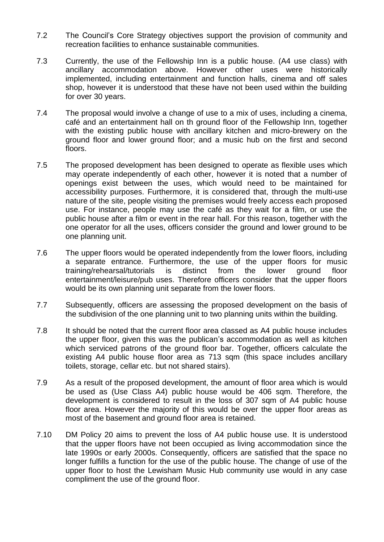- 7.2 The Council's Core Strategy objectives support the provision of community and recreation facilities to enhance sustainable communities.
- 7.3 Currently, the use of the Fellowship Inn is a public house. (A4 use class) with ancillary accommodation above. However other uses were historically implemented, including entertainment and function halls, cinema and off sales shop, however it is understood that these have not been used within the building for over 30 years.
- 7.4 The proposal would involve a change of use to a mix of uses, including a cinema, café and an entertainment hall on th ground floor of the Fellowship Inn, together with the existing public house with ancillary kitchen and micro-brewery on the ground floor and lower ground floor; and a music hub on the first and second floors.
- 7.5 The proposed development has been designed to operate as flexible uses which may operate independently of each other, however it is noted that a number of openings exist between the uses, which would need to be maintained for accessibility purposes. Furthermore, it is considered that, through the multi-use nature of the site, people visiting the premises would freely access each proposed use. For instance, people may use the café as they wait for a film, or use the public house after a film or event in the rear hall. For this reason, together with the one operator for all the uses, officers consider the ground and lower ground to be one planning unit.
- 7.6 The upper floors would be operated independently from the lower floors, including a separate entrance. Furthermore, the use of the upper floors for music training/rehearsal/tutorials is distinct from the lower ground floor entertainment/leisure/pub uses. Therefore officers consider that the upper floors would be its own planning unit separate from the lower floors.
- 7.7 Subsequently, officers are assessing the proposed development on the basis of the subdivision of the one planning unit to two planning units within the building.
- 7.8 It should be noted that the current floor area classed as A4 public house includes the upper floor, given this was the publican's accommodation as well as kitchen which serviced patrons of the ground floor bar. Together, officers calculate the existing A4 public house floor area as 713 sqm (this space includes ancillary toilets, storage, cellar etc. but not shared stairs).
- 7.9 As a result of the proposed development, the amount of floor area which is would be used as (Use Class A4) public house would be 406 sqm. Therefore, the development is considered to result in the loss of 307 sam of A4 public house floor area. However the majority of this would be over the upper floor areas as most of the basement and ground floor area is retained.
- 7.10 DM Policy 20 aims to prevent the loss of A4 public house use. It is understood that the upper floors have not been occupied as living accommodation since the late 1990s or early 2000s. Consequently, officers are satisfied that the space no longer fulfills a function for the use of the public house. The change of use of the upper floor to host the Lewisham Music Hub community use would in any case compliment the use of the ground floor.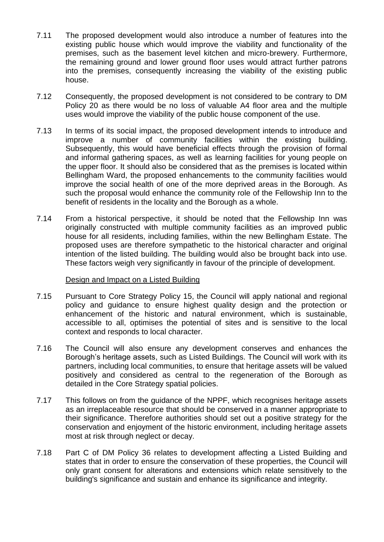- 7.11 The proposed development would also introduce a number of features into the existing public house which would improve the viability and functionality of the premises, such as the basement level kitchen and micro-brewery. Furthermore, the remaining ground and lower ground floor uses would attract further patrons into the premises, consequently increasing the viability of the existing public house.
- 7.12 Consequently, the proposed development is not considered to be contrary to DM Policy 20 as there would be no loss of valuable A4 floor area and the multiple uses would improve the viability of the public house component of the use.
- 7.13 In terms of its social impact, the proposed development intends to introduce and improve a number of community facilities within the existing building. Subsequently, this would have beneficial effects through the provision of formal and informal gathering spaces, as well as learning facilities for young people on the upper floor. It should also be considered that as the premises is located within Bellingham Ward, the proposed enhancements to the community facilities would improve the social health of one of the more deprived areas in the Borough. As such the proposal would enhance the community role of the Fellowship Inn to the benefit of residents in the locality and the Borough as a whole.
- 7.14 From a historical perspective, it should be noted that the Fellowship Inn was originally constructed with multiple community facilities as an improved public house for all residents, including families, within the new Bellingham Estate. The proposed uses are therefore sympathetic to the historical character and original intention of the listed building. The building would also be brought back into use. These factors weigh very significantly in favour of the principle of development.

## Design and Impact on a Listed Building

- 7.15 Pursuant to Core Strategy Policy 15, the Council will apply national and regional policy and guidance to ensure highest quality design and the protection or enhancement of the historic and natural environment, which is sustainable, accessible to all, optimises the potential of sites and is sensitive to the local context and responds to local character.
- 7.16 The Council will also ensure any development conserves and enhances the Borough's heritage assets, such as Listed Buildings. The Council will work with its partners, including local communities, to ensure that heritage assets will be valued positively and considered as central to the regeneration of the Borough as detailed in the Core Strategy spatial policies.
- 7.17 This follows on from the guidance of the NPPF, which recognises heritage assets as an irreplaceable resource that should be conserved in a manner appropriate to their significance. Therefore authorities should set out a positive strategy for the conservation and enjoyment of the historic environment, including heritage assets most at risk through neglect or decay.
- 7.18 Part C of DM Policy 36 relates to development affecting a Listed Building and states that in order to ensure the conservation of these properties, the Council will only grant consent for alterations and extensions which relate sensitively to the building's significance and sustain and enhance its significance and integrity.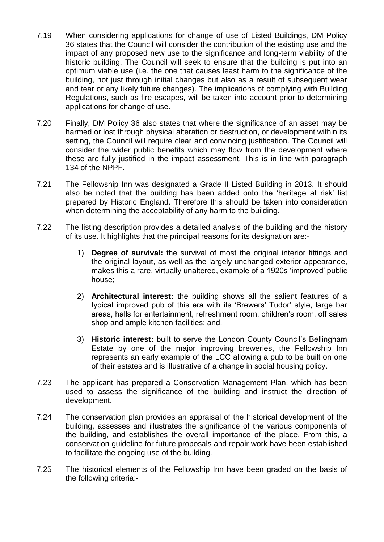- 7.19 When considering applications for change of use of Listed Buildings, DM Policy 36 states that the Council will consider the contribution of the existing use and the impact of any proposed new use to the significance and long-term viability of the historic building. The Council will seek to ensure that the building is put into an optimum viable use (i.e. the one that causes least harm to the significance of the building, not just through initial changes but also as a result of subsequent wear and tear or any likely future changes). The implications of complying with Building Regulations, such as fire escapes, will be taken into account prior to determining applications for change of use.
- 7.20 Finally, DM Policy 36 also states that where the significance of an asset may be harmed or lost through physical alteration or destruction, or development within its setting, the Council will require clear and convincing justification. The Council will consider the wider public benefits which may flow from the development where these are fully justified in the impact assessment. This is in line with paragraph 134 of the NPPF.
- 7.21 The Fellowship Inn was designated a Grade II Listed Building in 2013. It should also be noted that the building has been added onto the 'heritage at risk' list prepared by Historic England. Therefore this should be taken into consideration when determining the acceptability of any harm to the building.
- 7.22 The listing description provides a detailed analysis of the building and the history of its use. It highlights that the principal reasons for its designation are:-
	- 1) **Degree of survival:** the survival of most the original interior fittings and the original layout, as well as the largely unchanged exterior appearance, makes this a rare, virtually unaltered, example of a 1920s 'improved' public house;
	- 2) **Architectural interest:** the building shows all the salient features of a typical improved pub of this era with its 'Brewers' Tudor' style, large bar areas, halls for entertainment, refreshment room, children's room, off sales shop and ample kitchen facilities; and,
	- 3) **Historic interest:** built to serve the London County Council's Bellingham Estate by one of the major improving breweries, the Fellowship Inn represents an early example of the LCC allowing a pub to be built on one of their estates and is illustrative of a change in social housing policy.
- 7.23 The applicant has prepared a Conservation Management Plan, which has been used to assess the significance of the building and instruct the direction of development.
- 7.24 The conservation plan provides an appraisal of the historical development of the building, assesses and illustrates the significance of the various components of the building, and establishes the overall importance of the place. From this, a conservation guideline for future proposals and repair work have been established to facilitate the ongoing use of the building.
- 7.25 The historical elements of the Fellowship Inn have been graded on the basis of the following criteria:-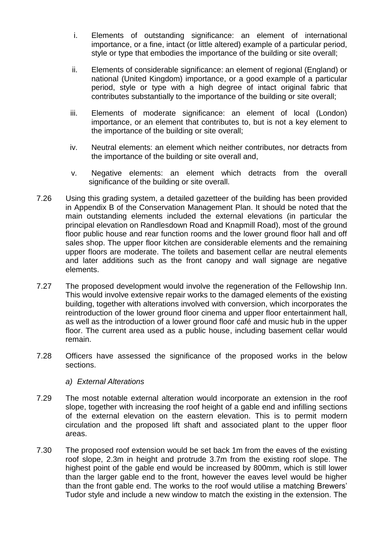- i. Elements of outstanding significance: an element of international importance, or a fine, intact (or little altered) example of a particular period, style or type that embodies the importance of the building or site overall;
- ii. Elements of considerable significance: an element of regional (England) or national (United Kingdom) importance, or a good example of a particular period, style or type with a high degree of intact original fabric that contributes substantially to the importance of the building or site overall;
- iii. Elements of moderate significance: an element of local (London) importance, or an element that contributes to, but is not a key element to the importance of the building or site overall;
- iv. Neutral elements: an element which neither contributes, nor detracts from the importance of the building or site overall and,
- v. Negative elements: an element which detracts from the overall significance of the building or site overall.
- 7.26 Using this grading system, a detailed gazetteer of the building has been provided in Appendix B of the Conservation Management Plan. It should be noted that the main outstanding elements included the external elevations (in particular the principal elevation on Randlesdown Road and Knapmill Road), most of the ground floor public house and rear function rooms and the lower ground floor hall and off sales shop. The upper floor kitchen are considerable elements and the remaining upper floors are moderate. The toilets and basement cellar are neutral elements and later additions such as the front canopy and wall signage are negative elements.
- 7.27 The proposed development would involve the regeneration of the Fellowship Inn. This would involve extensive repair works to the damaged elements of the existing building, together with alterations involved with conversion, which incorporates the reintroduction of the lower ground floor cinema and upper floor entertainment hall, as well as the introduction of a lower ground floor café and music hub in the upper floor. The current area used as a public house, including basement cellar would remain.
- 7.28 Officers have assessed the significance of the proposed works in the below sections.
	- *a) External Alterations*
- 7.29 The most notable external alteration would incorporate an extension in the roof slope, together with increasing the roof height of a gable end and infilling sections of the external elevation on the eastern elevation. This is to permit modern circulation and the proposed lift shaft and associated plant to the upper floor areas.
- 7.30 The proposed roof extension would be set back 1m from the eaves of the existing roof slope, 2.3m in height and protrude 3.7m from the existing roof slope. The highest point of the gable end would be increased by 800mm, which is still lower than the larger gable end to the front, however the eaves level would be higher than the front gable end. The works to the roof would utilise a matching Brewers' Tudor style and include a new window to match the existing in the extension. The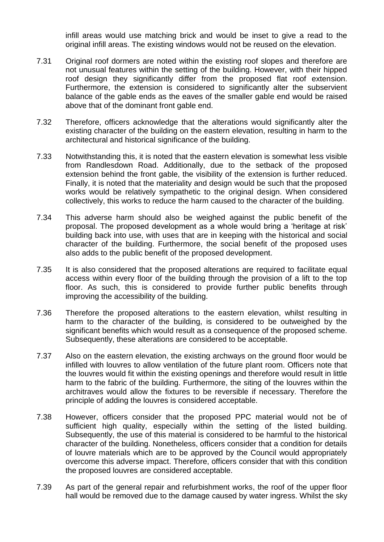infill areas would use matching brick and would be inset to give a read to the original infill areas. The existing windows would not be reused on the elevation.

- 7.31 Original roof dormers are noted within the existing roof slopes and therefore are not unusual features within the setting of the building. However, with their hipped roof design they significantly differ from the proposed flat roof extension. Furthermore, the extension is considered to significantly alter the subservient balance of the gable ends as the eaves of the smaller gable end would be raised above that of the dominant front gable end.
- 7.32 Therefore, officers acknowledge that the alterations would significantly alter the existing character of the building on the eastern elevation, resulting in harm to the architectural and historical significance of the building.
- 7.33 Notwithstanding this, it is noted that the eastern elevation is somewhat less visible from Randlesdown Road. Additionally, due to the setback of the proposed extension behind the front gable, the visibility of the extension is further reduced. Finally, it is noted that the materiality and design would be such that the proposed works would be relatively sympathetic to the original design. When considered collectively, this works to reduce the harm caused to the character of the building.
- 7.34 This adverse harm should also be weighed against the public benefit of the proposal. The proposed development as a whole would bring a 'heritage at risk' building back into use, with uses that are in keeping with the historical and social character of the building. Furthermore, the social benefit of the proposed uses also adds to the public benefit of the proposed development.
- 7.35 It is also considered that the proposed alterations are required to facilitate equal access within every floor of the building through the provision of a lift to the top floor. As such, this is considered to provide further public benefits through improving the accessibility of the building.
- 7.36 Therefore the proposed alterations to the eastern elevation, whilst resulting in harm to the character of the building, is considered to be outweighed by the significant benefits which would result as a consequence of the proposed scheme. Subsequently, these alterations are considered to be acceptable.
- 7.37 Also on the eastern elevation, the existing archways on the ground floor would be infilled with louvres to allow ventilation of the future plant room. Officers note that the louvres would fit within the existing openings and therefore would result in little harm to the fabric of the building. Furthermore, the siting of the louvres within the architraves would allow the fixtures to be reversible if necessary. Therefore the principle of adding the louvres is considered acceptable.
- 7.38 However, officers consider that the proposed PPC material would not be of sufficient high quality, especially within the setting of the listed building. Subsequently, the use of this material is considered to be harmful to the historical character of the building. Nonetheless, officers consider that a condition for details of louvre materials which are to be approved by the Council would appropriately overcome this adverse impact. Therefore, officers consider that with this condition the proposed louvres are considered acceptable.
- 7.39 As part of the general repair and refurbishment works, the roof of the upper floor hall would be removed due to the damage caused by water ingress. Whilst the sky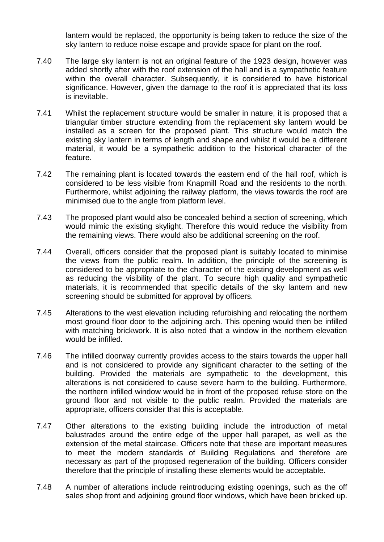lantern would be replaced, the opportunity is being taken to reduce the size of the sky lantern to reduce noise escape and provide space for plant on the roof.

- 7.40 The large sky lantern is not an original feature of the 1923 design, however was added shortly after with the roof extension of the hall and is a sympathetic feature within the overall character. Subsequently, it is considered to have historical significance. However, given the damage to the roof it is appreciated that its loss is inevitable.
- 7.41 Whilst the replacement structure would be smaller in nature, it is proposed that a triangular timber structure extending from the replacement sky lantern would be installed as a screen for the proposed plant. This structure would match the existing sky lantern in terms of length and shape and whilst it would be a different material, it would be a sympathetic addition to the historical character of the feature.
- 7.42 The remaining plant is located towards the eastern end of the hall roof, which is considered to be less visible from Knapmill Road and the residents to the north. Furthermore, whilst adjoining the railway platform, the views towards the roof are minimised due to the angle from platform level.
- 7.43 The proposed plant would also be concealed behind a section of screening, which would mimic the existing skylight. Therefore this would reduce the visibility from the remaining views. There would also be additional screening on the roof.
- 7.44 Overall, officers consider that the proposed plant is suitably located to minimise the views from the public realm. In addition, the principle of the screening is considered to be appropriate to the character of the existing development as well as reducing the visibility of the plant. To secure high quality and sympathetic materials, it is recommended that specific details of the sky lantern and new screening should be submitted for approval by officers.
- 7.45 Alterations to the west elevation including refurbishing and relocating the northern most ground floor door to the adjoining arch. This opening would then be infilled with matching brickwork. It is also noted that a window in the northern elevation would be infilled.
- 7.46 The infilled doorway currently provides access to the stairs towards the upper hall and is not considered to provide any significant character to the setting of the building. Provided the materials are sympathetic to the development, this alterations is not considered to cause severe harm to the building. Furthermore, the northern infilled window would be in front of the proposed refuse store on the ground floor and not visible to the public realm. Provided the materials are appropriate, officers consider that this is acceptable.
- 7.47 Other alterations to the existing building include the introduction of metal balustrades around the entire edge of the upper hall parapet, as well as the extension of the metal staircase. Officers note that these are important measures to meet the modern standards of Building Regulations and therefore are necessary as part of the proposed regeneration of the building. Officers consider therefore that the principle of installing these elements would be acceptable.
- 7.48 A number of alterations include reintroducing existing openings, such as the off sales shop front and adjoining ground floor windows, which have been bricked up.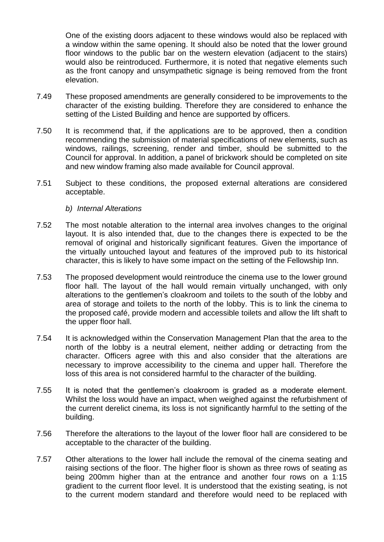One of the existing doors adjacent to these windows would also be replaced with a window within the same opening. It should also be noted that the lower ground floor windows to the public bar on the western elevation (adjacent to the stairs) would also be reintroduced. Furthermore, it is noted that negative elements such as the front canopy and unsympathetic signage is being removed from the front elevation.

- 7.49 These proposed amendments are generally considered to be improvements to the character of the existing building. Therefore they are considered to enhance the setting of the Listed Building and hence are supported by officers.
- 7.50 It is recommend that, if the applications are to be approved, then a condition recommending the submission of material specifications of new elements, such as windows, railings, screening, render and timber, should be submitted to the Council for approval. In addition, a panel of brickwork should be completed on site and new window framing also made available for Council approval.
- 7.51 Subject to these conditions, the proposed external alterations are considered acceptable.
	- *b) Internal Alterations*
- 7.52 The most notable alteration to the internal area involves changes to the original layout. It is also intended that, due to the changes there is expected to be the removal of original and historically significant features. Given the importance of the virtually untouched layout and features of the improved pub to its historical character, this is likely to have some impact on the setting of the Fellowship Inn.
- 7.53 The proposed development would reintroduce the cinema use to the lower ground floor hall. The layout of the hall would remain virtually unchanged, with only alterations to the gentlemen's cloakroom and toilets to the south of the lobby and area of storage and toilets to the north of the lobby. This is to link the cinema to the proposed café, provide modern and accessible toilets and allow the lift shaft to the upper floor hall.
- 7.54 It is acknowledged within the Conservation Management Plan that the area to the north of the lobby is a neutral element, neither adding or detracting from the character. Officers agree with this and also consider that the alterations are necessary to improve accessibility to the cinema and upper hall. Therefore the loss of this area is not considered harmful to the character of the building.
- 7.55 It is noted that the gentlemen's cloakroom is graded as a moderate element. Whilst the loss would have an impact, when weighed against the refurbishment of the current derelict cinema, its loss is not significantly harmful to the setting of the building.
- 7.56 Therefore the alterations to the layout of the lower floor hall are considered to be acceptable to the character of the building.
- 7.57 Other alterations to the lower hall include the removal of the cinema seating and raising sections of the floor. The higher floor is shown as three rows of seating as being 200mm higher than at the entrance and another four rows on a 1:15 gradient to the current floor level. It is understood that the existing seating, is not to the current modern standard and therefore would need to be replaced with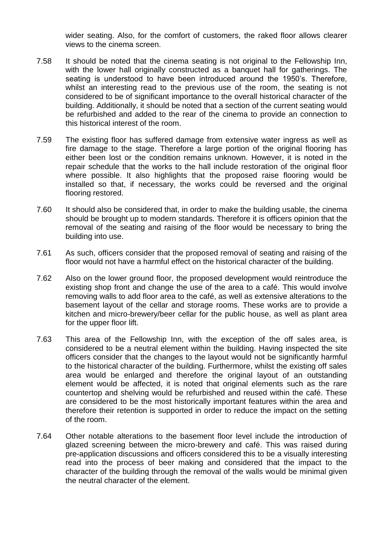wider seating. Also, for the comfort of customers, the raked floor allows clearer views to the cinema screen.

- 7.58 It should be noted that the cinema seating is not original to the Fellowship Inn, with the lower hall originally constructed as a banquet hall for gatherings. The seating is understood to have been introduced around the 1950's. Therefore, whilst an interesting read to the previous use of the room, the seating is not considered to be of significant importance to the overall historical character of the building. Additionally, it should be noted that a section of the current seating would be refurbished and added to the rear of the cinema to provide an connection to this historical interest of the room.
- 7.59 The existing floor has suffered damage from extensive water ingress as well as fire damage to the stage. Therefore a large portion of the original flooring has either been lost or the condition remains unknown. However, it is noted in the repair schedule that the works to the hall include restoration of the original floor where possible. It also highlights that the proposed raise flooring would be installed so that, if necessary, the works could be reversed and the original flooring restored.
- 7.60 It should also be considered that, in order to make the building usable, the cinema should be brought up to modern standards. Therefore it is officers opinion that the removal of the seating and raising of the floor would be necessary to bring the building into use.
- 7.61 As such, officers consider that the proposed removal of seating and raising of the floor would not have a harmful effect on the historical character of the building.
- 7.62 Also on the lower ground floor, the proposed development would reintroduce the existing shop front and change the use of the area to a café. This would involve removing walls to add floor area to the café, as well as extensive alterations to the basement layout of the cellar and storage rooms. These works are to provide a kitchen and micro-brewery/beer cellar for the public house, as well as plant area for the upper floor lift.
- 7.63 This area of the Fellowship Inn, with the exception of the off sales area, is considered to be a neutral element within the building. Having inspected the site officers consider that the changes to the layout would not be significantly harmful to the historical character of the building. Furthermore, whilst the existing off sales area would be enlarged and therefore the original layout of an outstanding element would be affected, it is noted that original elements such as the rare countertop and shelving would be refurbished and reused within the café. These are considered to be the most historically important features within the area and therefore their retention is supported in order to reduce the impact on the setting of the room.
- 7.64 Other notable alterations to the basement floor level include the introduction of glazed screening between the micro-brewery and café. This was raised during pre-application discussions and officers considered this to be a visually interesting read into the process of beer making and considered that the impact to the character of the building through the removal of the walls would be minimal given the neutral character of the element.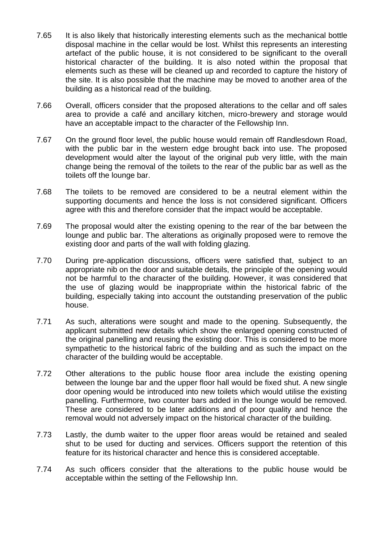- 7.65 It is also likely that historically interesting elements such as the mechanical bottle disposal machine in the cellar would be lost. Whilst this represents an interesting artefact of the public house, it is not considered to be significant to the overall historical character of the building. It is also noted within the proposal that elements such as these will be cleaned up and recorded to capture the history of the site. It is also possible that the machine may be moved to another area of the building as a historical read of the building.
- 7.66 Overall, officers consider that the proposed alterations to the cellar and off sales area to provide a café and ancillary kitchen, micro-brewery and storage would have an acceptable impact to the character of the Fellowship Inn.
- 7.67 On the ground floor level, the public house would remain off Randlesdown Road, with the public bar in the western edge brought back into use. The proposed development would alter the layout of the original pub very little, with the main change being the removal of the toilets to the rear of the public bar as well as the toilets off the lounge bar.
- 7.68 The toilets to be removed are considered to be a neutral element within the supporting documents and hence the loss is not considered significant. Officers agree with this and therefore consider that the impact would be acceptable.
- 7.69 The proposal would alter the existing opening to the rear of the bar between the lounge and public bar. The alterations as originally proposed were to remove the existing door and parts of the wall with folding glazing.
- 7.70 During pre-application discussions, officers were satisfied that, subject to an appropriate nib on the door and suitable details, the principle of the opening would not be harmful to the character of the building. However, it was considered that the use of glazing would be inappropriate within the historical fabric of the building, especially taking into account the outstanding preservation of the public house.
- 7.71 As such, alterations were sought and made to the opening. Subsequently, the applicant submitted new details which show the enlarged opening constructed of the original panelling and reusing the existing door. This is considered to be more sympathetic to the historical fabric of the building and as such the impact on the character of the building would be acceptable.
- 7.72 Other alterations to the public house floor area include the existing opening between the lounge bar and the upper floor hall would be fixed shut. A new single door opening would be introduced into new toilets which would utilise the existing panelling. Furthermore, two counter bars added in the lounge would be removed. These are considered to be later additions and of poor quality and hence the removal would not adversely impact on the historical character of the building.
- 7.73 Lastly, the dumb waiter to the upper floor areas would be retained and sealed shut to be used for ducting and services. Officers support the retention of this feature for its historical character and hence this is considered acceptable.
- 7.74 As such officers consider that the alterations to the public house would be acceptable within the setting of the Fellowship Inn.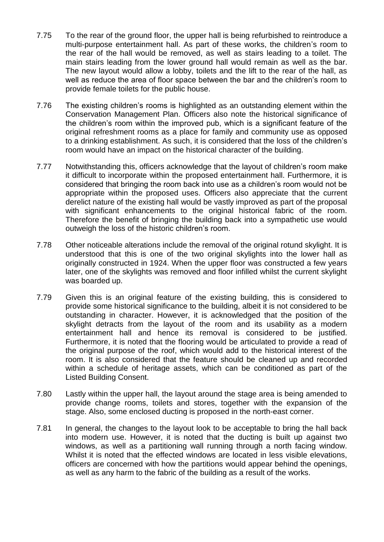- 7.75 To the rear of the ground floor, the upper hall is being refurbished to reintroduce a multi-purpose entertainment hall. As part of these works, the children's room to the rear of the hall would be removed, as well as stairs leading to a toilet. The main stairs leading from the lower ground hall would remain as well as the bar. The new layout would allow a lobby, toilets and the lift to the rear of the hall, as well as reduce the area of floor space between the bar and the children's room to provide female toilets for the public house.
- 7.76 The existing children's rooms is highlighted as an outstanding element within the Conservation Management Plan. Officers also note the historical significance of the children's room within the improved pub, which is a significant feature of the original refreshment rooms as a place for family and community use as opposed to a drinking establishment. As such, it is considered that the loss of the children's room would have an impact on the historical character of the building.
- 7.77 Notwithstanding this, officers acknowledge that the layout of children's room make it difficult to incorporate within the proposed entertainment hall. Furthermore, it is considered that bringing the room back into use as a children's room would not be appropriate within the proposed uses. Officers also appreciate that the current derelict nature of the existing hall would be vastly improved as part of the proposal with significant enhancements to the original historical fabric of the room. Therefore the benefit of bringing the building back into a sympathetic use would outweigh the loss of the historic children's room.
- 7.78 Other noticeable alterations include the removal of the original rotund skylight. It is understood that this is one of the two original skylights into the lower hall as originally constructed in 1924. When the upper floor was constructed a few years later, one of the skylights was removed and floor infilled whilst the current skylight was boarded up.
- 7.79 Given this is an original feature of the existing building, this is considered to provide some historical significance to the building, albeit it is not considered to be outstanding in character. However, it is acknowledged that the position of the skylight detracts from the layout of the room and its usability as a modern entertainment hall and hence its removal is considered to be justified. Furthermore, it is noted that the flooring would be articulated to provide a read of the original purpose of the roof, which would add to the historical interest of the room. It is also considered that the feature should be cleaned up and recorded within a schedule of heritage assets, which can be conditioned as part of the Listed Building Consent.
- 7.80 Lastly within the upper hall, the layout around the stage area is being amended to provide change rooms, toilets and stores, together with the expansion of the stage. Also, some enclosed ducting is proposed in the north-east corner.
- 7.81 In general, the changes to the layout look to be acceptable to bring the hall back into modern use. However, it is noted that the ducting is built up against two windows, as well as a partitioning wall running through a north facing window. Whilst it is noted that the effected windows are located in less visible elevations, officers are concerned with how the partitions would appear behind the openings, as well as any harm to the fabric of the building as a result of the works.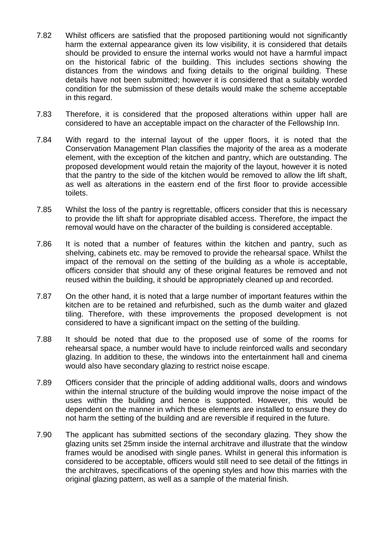- 7.82 Whilst officers are satisfied that the proposed partitioning would not significantly harm the external appearance given its low visibility, it is considered that details should be provided to ensure the internal works would not have a harmful impact on the historical fabric of the building. This includes sections showing the distances from the windows and fixing details to the original building. These details have not been submitted; however it is considered that a suitably worded condition for the submission of these details would make the scheme acceptable in this regard.
- 7.83 Therefore, it is considered that the proposed alterations within upper hall are considered to have an acceptable impact on the character of the Fellowship Inn.
- 7.84 With regard to the internal layout of the upper floors, it is noted that the Conservation Management Plan classifies the majority of the area as a moderate element, with the exception of the kitchen and pantry, which are outstanding. The proposed development would retain the majority of the layout, however it is noted that the pantry to the side of the kitchen would be removed to allow the lift shaft, as well as alterations in the eastern end of the first floor to provide accessible toilets.
- 7.85 Whilst the loss of the pantry is regrettable, officers consider that this is necessary to provide the lift shaft for appropriate disabled access. Therefore, the impact the removal would have on the character of the building is considered acceptable.
- 7.86 It is noted that a number of features within the kitchen and pantry, such as shelving, cabinets etc. may be removed to provide the rehearsal space. Whilst the impact of the removal on the setting of the building as a whole is acceptable, officers consider that should any of these original features be removed and not reused within the building, it should be appropriately cleaned up and recorded.
- 7.87 On the other hand, it is noted that a large number of important features within the kitchen are to be retained and refurbished, such as the dumb waiter and glazed tiling. Therefore, with these improvements the proposed development is not considered to have a significant impact on the setting of the building.
- 7.88 It should be noted that due to the proposed use of some of the rooms for rehearsal space, a number would have to include reinforced walls and secondary glazing. In addition to these, the windows into the entertainment hall and cinema would also have secondary glazing to restrict noise escape.
- 7.89 Officers consider that the principle of adding additional walls, doors and windows within the internal structure of the building would improve the noise impact of the uses within the building and hence is supported. However, this would be dependent on the manner in which these elements are installed to ensure they do not harm the setting of the building and are reversible if required in the future.
- 7.90 The applicant has submitted sections of the secondary glazing. They show the glazing units set 25mm inside the internal architrave and illustrate that the window frames would be anodised with single panes. Whilst in general this information is considered to be acceptable, officers would still need to see detail of the fittings in the architraves, specifications of the opening styles and how this marries with the original glazing pattern, as well as a sample of the material finish.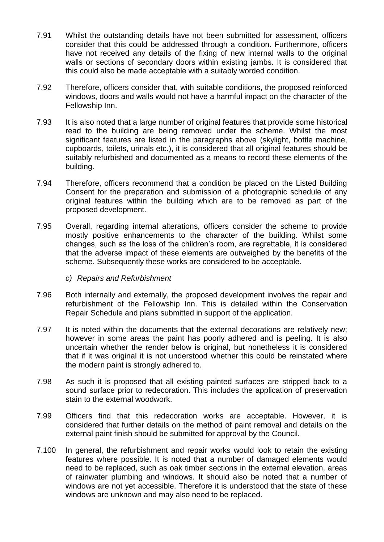- 7.91 Whilst the outstanding details have not been submitted for assessment, officers consider that this could be addressed through a condition. Furthermore, officers have not received any details of the fixing of new internal walls to the original walls or sections of secondary doors within existing jambs. It is considered that this could also be made acceptable with a suitably worded condition.
- 7.92 Therefore, officers consider that, with suitable conditions, the proposed reinforced windows, doors and walls would not have a harmful impact on the character of the Fellowship Inn.
- 7.93 It is also noted that a large number of original features that provide some historical read to the building are being removed under the scheme. Whilst the most significant features are listed in the paragraphs above (skylight, bottle machine, cupboards, toilets, urinals etc.), it is considered that all original features should be suitably refurbished and documented as a means to record these elements of the building.
- 7.94 Therefore, officers recommend that a condition be placed on the Listed Building Consent for the preparation and submission of a photographic schedule of any original features within the building which are to be removed as part of the proposed development.
- 7.95 Overall, regarding internal alterations, officers consider the scheme to provide mostly positive enhancements to the character of the building. Whilst some changes, such as the loss of the children's room, are regrettable, it is considered that the adverse impact of these elements are outweighed by the benefits of the scheme. Subsequently these works are considered to be acceptable.
	- *c) Repairs and Refurbishment*
- 7.96 Both internally and externally, the proposed development involves the repair and refurbishment of the Fellowship Inn. This is detailed within the Conservation Repair Schedule and plans submitted in support of the application.
- 7.97 It is noted within the documents that the external decorations are relatively new; however in some areas the paint has poorly adhered and is peeling. It is also uncertain whether the render below is original, but nonetheless it is considered that if it was original it is not understood whether this could be reinstated where the modern paint is strongly adhered to.
- 7.98 As such it is proposed that all existing painted surfaces are stripped back to a sound surface prior to redecoration. This includes the application of preservation stain to the external woodwork.
- 7.99 Officers find that this redecoration works are acceptable. However, it is considered that further details on the method of paint removal and details on the external paint finish should be submitted for approval by the Council.
- 7.100 In general, the refurbishment and repair works would look to retain the existing features where possible. It is noted that a number of damaged elements would need to be replaced, such as oak timber sections in the external elevation, areas of rainwater plumbing and windows. It should also be noted that a number of windows are not yet accessible. Therefore it is understood that the state of these windows are unknown and may also need to be replaced.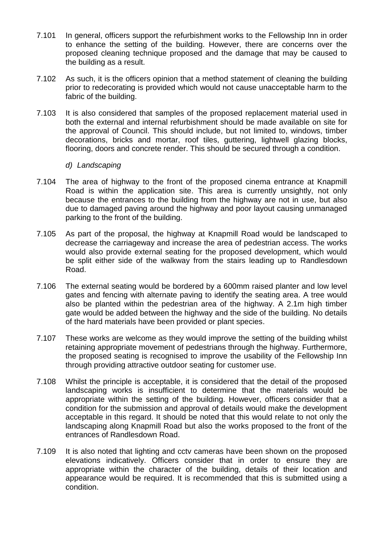- 7.101 In general, officers support the refurbishment works to the Fellowship Inn in order to enhance the setting of the building. However, there are concerns over the proposed cleaning technique proposed and the damage that may be caused to the building as a result.
- 7.102 As such, it is the officers opinion that a method statement of cleaning the building prior to redecorating is provided which would not cause unacceptable harm to the fabric of the building.
- 7.103 It is also considered that samples of the proposed replacement material used in both the external and internal refurbishment should be made available on site for the approval of Council. This should include, but not limited to, windows, timber decorations, bricks and mortar, roof tiles, guttering, lightwell glazing blocks, flooring, doors and concrete render. This should be secured through a condition.

### *d) Landscaping*

- 7.104 The area of highway to the front of the proposed cinema entrance at Knapmill Road is within the application site. This area is currently unsightly, not only because the entrances to the building from the highway are not in use, but also due to damaged paving around the highway and poor layout causing unmanaged parking to the front of the building.
- 7.105 As part of the proposal, the highway at Knapmill Road would be landscaped to decrease the carriageway and increase the area of pedestrian access. The works would also provide external seating for the proposed development, which would be split either side of the walkway from the stairs leading up to Randlesdown Road.
- 7.106 The external seating would be bordered by a 600mm raised planter and low level gates and fencing with alternate paving to identify the seating area. A tree would also be planted within the pedestrian area of the highway. A 2.1m high timber gate would be added between the highway and the side of the building. No details of the hard materials have been provided or plant species.
- 7.107 These works are welcome as they would improve the setting of the building whilst retaining appropriate movement of pedestrians through the highway. Furthermore, the proposed seating is recognised to improve the usability of the Fellowship Inn through providing attractive outdoor seating for customer use.
- 7.108 Whilst the principle is acceptable, it is considered that the detail of the proposed landscaping works is insufficient to determine that the materials would be appropriate within the setting of the building. However, officers consider that a condition for the submission and approval of details would make the development acceptable in this regard. It should be noted that this would relate to not only the landscaping along Knapmill Road but also the works proposed to the front of the entrances of Randlesdown Road.
- 7.109 It is also noted that lighting and cctv cameras have been shown on the proposed elevations indicatively. Officers consider that in order to ensure they are appropriate within the character of the building, details of their location and appearance would be required. It is recommended that this is submitted using a condition.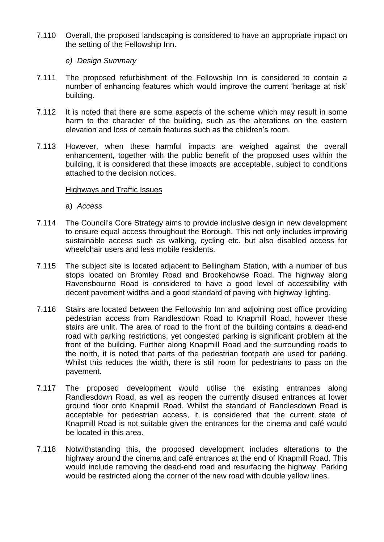- 7.110 Overall, the proposed landscaping is considered to have an appropriate impact on the setting of the Fellowship Inn.
	- *e) Design Summary*
- 7.111 The proposed refurbishment of the Fellowship Inn is considered to contain a number of enhancing features which would improve the current 'heritage at risk' building.
- 7.112 It is noted that there are some aspects of the scheme which may result in some harm to the character of the building, such as the alterations on the eastern elevation and loss of certain features such as the children's room.
- 7.113 However, when these harmful impacts are weighed against the overall enhancement, together with the public benefit of the proposed uses within the building, it is considered that these impacts are acceptable, subject to conditions attached to the decision notices.

#### Highways and Traffic Issues

- a) *Access*
- 7.114 The Council's Core Strategy aims to provide inclusive design in new development to ensure equal access throughout the Borough. This not only includes improving sustainable access such as walking, cycling etc. but also disabled access for wheelchair users and less mobile residents.
- 7.115 The subject site is located adjacent to Bellingham Station, with a number of bus stops located on Bromley Road and Brookehowse Road. The highway along Ravensbourne Road is considered to have a good level of accessibility with decent pavement widths and a good standard of paving with highway lighting.
- 7.116 Stairs are located between the Fellowship Inn and adjoining post office providing pedestrian access from Randlesdown Road to Knapmill Road, however these stairs are unlit. The area of road to the front of the building contains a dead-end road with parking restrictions, yet congested parking is significant problem at the front of the building. Further along Knapmill Road and the surrounding roads to the north, it is noted that parts of the pedestrian footpath are used for parking. Whilst this reduces the width, there is still room for pedestrians to pass on the pavement.
- 7.117 The proposed development would utilise the existing entrances along Randlesdown Road, as well as reopen the currently disused entrances at lower ground floor onto Knapmill Road. Whilst the standard of Randlesdown Road is acceptable for pedestrian access, it is considered that the current state of Knapmill Road is not suitable given the entrances for the cinema and café would be located in this area.
- 7.118 Notwithstanding this, the proposed development includes alterations to the highway around the cinema and café entrances at the end of Knapmill Road. This would include removing the dead-end road and resurfacing the highway. Parking would be restricted along the corner of the new road with double yellow lines.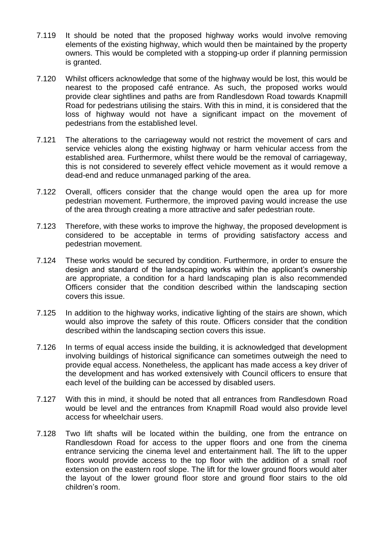- 7.119 It should be noted that the proposed highway works would involve removing elements of the existing highway, which would then be maintained by the property owners. This would be completed with a stopping-up order if planning permission is granted.
- 7.120 Whilst officers acknowledge that some of the highway would be lost, this would be nearest to the proposed café entrance. As such, the proposed works would provide clear sightlines and paths are from Randlesdown Road towards Knapmill Road for pedestrians utilising the stairs. With this in mind, it is considered that the loss of highway would not have a significant impact on the movement of pedestrians from the established level.
- 7.121 The alterations to the carriageway would not restrict the movement of cars and service vehicles along the existing highway or harm vehicular access from the established area. Furthermore, whilst there would be the removal of carriageway, this is not considered to severely effect vehicle movement as it would remove a dead-end and reduce unmanaged parking of the area.
- 7.122 Overall, officers consider that the change would open the area up for more pedestrian movement. Furthermore, the improved paving would increase the use of the area through creating a more attractive and safer pedestrian route.
- 7.123 Therefore, with these works to improve the highway, the proposed development is considered to be acceptable in terms of providing satisfactory access and pedestrian movement.
- 7.124 These works would be secured by condition. Furthermore, in order to ensure the design and standard of the landscaping works within the applicant's ownership are appropriate, a condition for a hard landscaping plan is also recommended Officers consider that the condition described within the landscaping section covers this issue.
- 7.125 In addition to the highway works, indicative lighting of the stairs are shown, which would also improve the safety of this route. Officers consider that the condition described within the landscaping section covers this issue.
- 7.126 In terms of equal access inside the building, it is acknowledged that development involving buildings of historical significance can sometimes outweigh the need to provide equal access. Nonetheless, the applicant has made access a key driver of the development and has worked extensively with Council officers to ensure that each level of the building can be accessed by disabled users.
- 7.127 With this in mind, it should be noted that all entrances from Randlesdown Road would be level and the entrances from Knapmill Road would also provide level access for wheelchair users.
- 7.128 Two lift shafts will be located within the building, one from the entrance on Randlesdown Road for access to the upper floors and one from the cinema entrance servicing the cinema level and entertainment hall. The lift to the upper floors would provide access to the top floor with the addition of a small roof extension on the eastern roof slope. The lift for the lower ground floors would alter the layout of the lower ground floor store and ground floor stairs to the old children's room.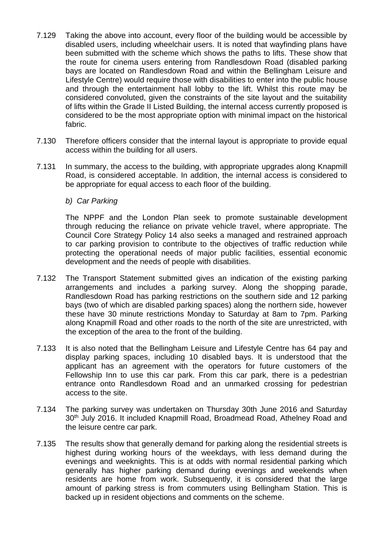- 7.129 Taking the above into account, every floor of the building would be accessible by disabled users, including wheelchair users. It is noted that wayfinding plans have been submitted with the scheme which shows the paths to lifts. These show that the route for cinema users entering from Randlesdown Road (disabled parking bays are located on Randlesdown Road and within the Bellingham Leisure and Lifestyle Centre) would require those with disabilities to enter into the public house and through the entertainment hall lobby to the lift. Whilst this route may be considered convoluted, given the constraints of the site layout and the suitability of lifts within the Grade II Listed Building, the internal access currently proposed is considered to be the most appropriate option with minimal impact on the historical fabric.
- 7.130 Therefore officers consider that the internal layout is appropriate to provide equal access within the building for all users.
- 7.131 In summary, the access to the building, with appropriate upgrades along Knapmill Road, is considered acceptable. In addition, the internal access is considered to be appropriate for equal access to each floor of the building.
	- *b) Car Parking*

The NPPF and the London Plan seek to promote sustainable development through reducing the reliance on private vehicle travel, where appropriate. The Council Core Strategy Policy 14 also seeks a managed and restrained approach to car parking provision to contribute to the objectives of traffic reduction while protecting the operational needs of major public facilities, essential economic development and the needs of people with disabilities.

- 7.132 The Transport Statement submitted gives an indication of the existing parking arrangements and includes a parking survey. Along the shopping parade, Randlesdown Road has parking restrictions on the southern side and 12 parking bays (two of which are disabled parking spaces) along the northern side, however these have 30 minute restrictions Monday to Saturday at 8am to 7pm. Parking along Knapmill Road and other roads to the north of the site are unrestricted, with the exception of the area to the front of the building.
- 7.133 It is also noted that the Bellingham Leisure and Lifestyle Centre has 64 pay and display parking spaces, including 10 disabled bays. It is understood that the applicant has an agreement with the operators for future customers of the Fellowship Inn to use this car park. From this car park, there is a pedestrian entrance onto Randlesdown Road and an unmarked crossing for pedestrian access to the site.
- 7.134 The parking survey was undertaken on Thursday 30th June 2016 and Saturday 30th July 2016. It included Knapmill Road, Broadmead Road, Athelney Road and the leisure centre car park.
- 7.135 The results show that generally demand for parking along the residential streets is highest during working hours of the weekdays, with less demand during the evenings and weeknights. This is at odds with normal residential parking which generally has higher parking demand during evenings and weekends when residents are home from work. Subsequently, it is considered that the large amount of parking stress is from commuters using Bellingham Station. This is backed up in resident objections and comments on the scheme.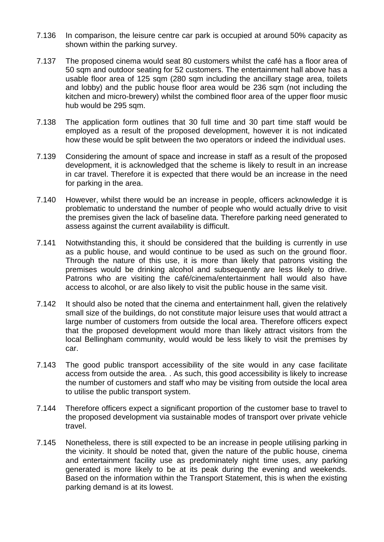- 7.136 In comparison, the leisure centre car park is occupied at around 50% capacity as shown within the parking survey.
- 7.137 The proposed cinema would seat 80 customers whilst the café has a floor area of 50 sqm and outdoor seating for 52 customers. The entertainment hall above has a usable floor area of 125 sqm (280 sqm including the ancillary stage area, toilets and lobby) and the public house floor area would be 236 sqm (not including the kitchen and micro-brewery) whilst the combined floor area of the upper floor music hub would be 295 sqm.
- 7.138 The application form outlines that 30 full time and 30 part time staff would be employed as a result of the proposed development, however it is not indicated how these would be split between the two operators or indeed the individual uses.
- 7.139 Considering the amount of space and increase in staff as a result of the proposed development, it is acknowledged that the scheme is likely to result in an increase in car travel. Therefore it is expected that there would be an increase in the need for parking in the area.
- 7.140 However, whilst there would be an increase in people, officers acknowledge it is problematic to understand the number of people who would actually drive to visit the premises given the lack of baseline data. Therefore parking need generated to assess against the current availability is difficult.
- 7.141 Notwithstanding this, it should be considered that the building is currently in use as a public house, and would continue to be used as such on the ground floor. Through the nature of this use, it is more than likely that patrons visiting the premises would be drinking alcohol and subsequently are less likely to drive. Patrons who are visiting the café/cinema/entertainment hall would also have access to alcohol, or are also likely to visit the public house in the same visit.
- 7.142 It should also be noted that the cinema and entertainment hall, given the relatively small size of the buildings, do not constitute major leisure uses that would attract a large number of customers from outside the local area. Therefore officers expect that the proposed development would more than likely attract visitors from the local Bellingham community, would would be less likely to visit the premises by car.
- 7.143 The good public transport accessibility of the site would in any case facilitate access from outside the area. . As such, this good accessibility is likely to increase the number of customers and staff who may be visiting from outside the local area to utilise the public transport system.
- 7.144 Therefore officers expect a significant proportion of the customer base to travel to the proposed development via sustainable modes of transport over private vehicle travel.
- 7.145 Nonetheless, there is still expected to be an increase in people utilising parking in the vicinity. It should be noted that, given the nature of the public house, cinema and entertainment facility use as predominately night time uses, any parking generated is more likely to be at its peak during the evening and weekends. Based on the information within the Transport Statement, this is when the existing parking demand is at its lowest.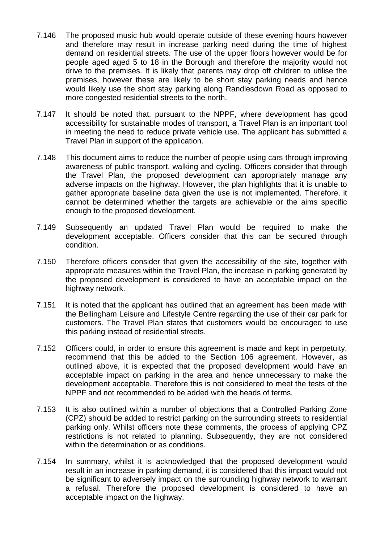- 7.146 The proposed music hub would operate outside of these evening hours however and therefore may result in increase parking need during the time of highest demand on residential streets. The use of the upper floors however would be for people aged aged 5 to 18 in the Borough and therefore the majority would not drive to the premises. It is likely that parents may drop off children to utilise the premises, however these are likely to be short stay parking needs and hence would likely use the short stay parking along Randlesdown Road as opposed to more congested residential streets to the north.
- 7.147 It should be noted that, pursuant to the NPPF, where development has good accessibility for sustainable modes of transport, a Travel Plan is an important tool in meeting the need to reduce private vehicle use. The applicant has submitted a Travel Plan in support of the application.
- 7.148 This document aims to reduce the number of people using cars through improving awareness of public transport, walking and cycling. Officers consider that through the Travel Plan, the proposed development can appropriately manage any adverse impacts on the highway. However, the plan highlights that it is unable to gather appropriate baseline data given the use is not implemented. Therefore, it cannot be determined whether the targets are achievable or the aims specific enough to the proposed development.
- 7.149 Subsequently an updated Travel Plan would be required to make the development acceptable. Officers consider that this can be secured through condition.
- 7.150 Therefore officers consider that given the accessibility of the site, together with appropriate measures within the Travel Plan, the increase in parking generated by the proposed development is considered to have an acceptable impact on the highway network.
- 7.151 It is noted that the applicant has outlined that an agreement has been made with the Bellingham Leisure and Lifestyle Centre regarding the use of their car park for customers. The Travel Plan states that customers would be encouraged to use this parking instead of residential streets.
- 7.152 Officers could, in order to ensure this agreement is made and kept in perpetuity, recommend that this be added to the Section 106 agreement. However, as outlined above, it is expected that the proposed development would have an acceptable impact on parking in the area and hence unnecessary to make the development acceptable. Therefore this is not considered to meet the tests of the NPPF and not recommended to be added with the heads of terms.
- 7.153 It is also outlined within a number of objections that a Controlled Parking Zone (CPZ) should be added to restrict parking on the surrounding streets to residential parking only. Whilst officers note these comments, the process of applying CPZ restrictions is not related to planning. Subsequently, they are not considered within the determination or as conditions.
- 7.154 In summary, whilst it is acknowledged that the proposed development would result in an increase in parking demand, it is considered that this impact would not be significant to adversely impact on the surrounding highway network to warrant a refusal. Therefore the proposed development is considered to have an acceptable impact on the highway.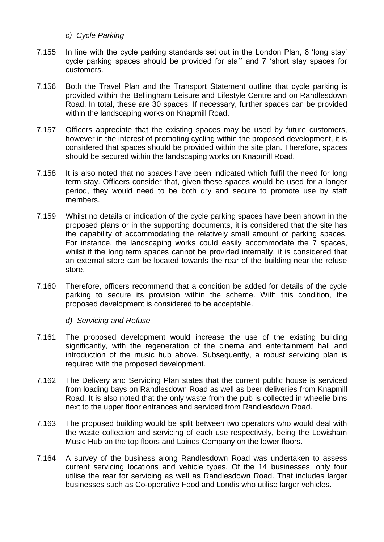- *c) Cycle Parking*
- 7.155 In line with the cycle parking standards set out in the London Plan, 8 'long stay' cycle parking spaces should be provided for staff and 7 'short stay spaces for customers.
- 7.156 Both the Travel Plan and the Transport Statement outline that cycle parking is provided within the Bellingham Leisure and Lifestyle Centre and on Randlesdown Road. In total, these are 30 spaces. If necessary, further spaces can be provided within the landscaping works on Knapmill Road.
- 7.157 Officers appreciate that the existing spaces may be used by future customers, however in the interest of promoting cycling within the proposed development, it is considered that spaces should be provided within the site plan. Therefore, spaces should be secured within the landscaping works on Knapmill Road.
- 7.158 It is also noted that no spaces have been indicated which fulfil the need for long term stay. Officers consider that, given these spaces would be used for a longer period, they would need to be both dry and secure to promote use by staff members.
- 7.159 Whilst no details or indication of the cycle parking spaces have been shown in the proposed plans or in the supporting documents, it is considered that the site has the capability of accommodating the relatively small amount of parking spaces. For instance, the landscaping works could easily accommodate the 7 spaces, whilst if the long term spaces cannot be provided internally, it is considered that an external store can be located towards the rear of the building near the refuse store.
- 7.160 Therefore, officers recommend that a condition be added for details of the cycle parking to secure its provision within the scheme. With this condition, the proposed development is considered to be acceptable.

*d) Servicing and Refuse*

- 7.161 The proposed development would increase the use of the existing building significantly, with the regeneration of the cinema and entertainment hall and introduction of the music hub above. Subsequently, a robust servicing plan is required with the proposed development.
- 7.162 The Delivery and Servicing Plan states that the current public house is serviced from loading bays on Randlesdown Road as well as beer deliveries from Knapmill Road. It is also noted that the only waste from the pub is collected in wheelie bins next to the upper floor entrances and serviced from Randlesdown Road.
- 7.163 The proposed building would be split between two operators who would deal with the waste collection and servicing of each use respectively, being the Lewisham Music Hub on the top floors and Laines Company on the lower floors.
- 7.164 A survey of the business along Randlesdown Road was undertaken to assess current servicing locations and vehicle types. Of the 14 businesses, only four utilise the rear for servicing as well as Randlesdown Road. That includes larger businesses such as Co-operative Food and Londis who utilise larger vehicles.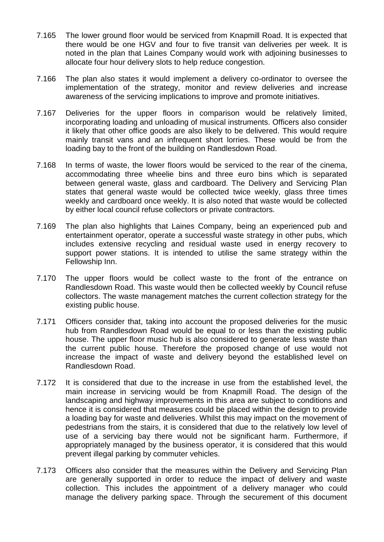- 7.165 The lower ground floor would be serviced from Knapmill Road. It is expected that there would be one HGV and four to five transit van deliveries per week. It is noted in the plan that Laines Company would work with adjoining businesses to allocate four hour delivery slots to help reduce congestion.
- 7.166 The plan also states it would implement a delivery co-ordinator to oversee the implementation of the strategy, monitor and review deliveries and increase awareness of the servicing implications to improve and promote initiatives.
- 7.167 Deliveries for the upper floors in comparison would be relatively limited, incorporating loading and unloading of musical instruments. Officers also consider it likely that other office goods are also likely to be delivered. This would require mainly transit vans and an infrequent short lorries. These would be from the loading bay to the front of the building on Randlesdown Road.
- 7.168 In terms of waste, the lower floors would be serviced to the rear of the cinema, accommodating three wheelie bins and three euro bins which is separated between general waste, glass and cardboard. The Delivery and Servicing Plan states that general waste would be collected twice weekly, glass three times weekly and cardboard once weekly. It is also noted that waste would be collected by either local council refuse collectors or private contractors.
- 7.169 The plan also highlights that Laines Company, being an experienced pub and entertainment operator, operate a successful waste strategy in other pubs, which includes extensive recycling and residual waste used in energy recovery to support power stations. It is intended to utilise the same strategy within the Fellowship Inn.
- 7.170 The upper floors would be collect waste to the front of the entrance on Randlesdown Road. This waste would then be collected weekly by Council refuse collectors. The waste management matches the current collection strategy for the existing public house.
- 7.171 Officers consider that, taking into account the proposed deliveries for the music hub from Randlesdown Road would be equal to or less than the existing public house. The upper floor music hub is also considered to generate less waste than the current public house. Therefore the proposed change of use would not increase the impact of waste and delivery beyond the established level on Randlesdown Road.
- 7.172 It is considered that due to the increase in use from the established level, the main increase in servicing would be from Knapmill Road. The design of the landscaping and highway improvements in this area are subject to conditions and hence it is considered that measures could be placed within the design to provide a loading bay for waste and deliveries. Whilst this may impact on the movement of pedestrians from the stairs, it is considered that due to the relatively low level of use of a servicing bay there would not be significant harm. Furthermore, if appropriately managed by the business operator, it is considered that this would prevent illegal parking by commuter vehicles.
- 7.173 Officers also consider that the measures within the Delivery and Servicing Plan are generally supported in order to reduce the impact of delivery and waste collection. This includes the appointment of a delivery manager who could manage the delivery parking space. Through the securement of this document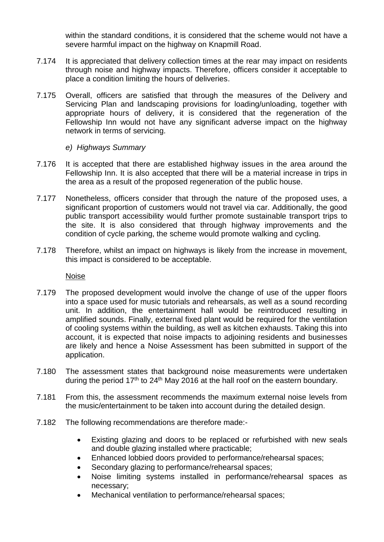within the standard conditions, it is considered that the scheme would not have a severe harmful impact on the highway on Knapmill Road.

- 7.174 It is appreciated that delivery collection times at the rear may impact on residents through noise and highway impacts. Therefore, officers consider it acceptable to place a condition limiting the hours of deliveries.
- 7.175 Overall, officers are satisfied that through the measures of the Delivery and Servicing Plan and landscaping provisions for loading/unloading, together with appropriate hours of delivery, it is considered that the regeneration of the Fellowship Inn would not have any significant adverse impact on the highway network in terms of servicing.
	- *e) Highways Summary*
- 7.176 It is accepted that there are established highway issues in the area around the Fellowship Inn. It is also accepted that there will be a material increase in trips in the area as a result of the proposed regeneration of the public house.
- 7.177 Nonetheless, officers consider that through the nature of the proposed uses, a significant proportion of customers would not travel via car. Additionally, the good public transport accessibility would further promote sustainable transport trips to the site. It is also considered that through highway improvements and the condition of cycle parking, the scheme would promote walking and cycling.
- 7.178 Therefore, whilst an impact on highways is likely from the increase in movement, this impact is considered to be acceptable.

Noise

- 7.179 The proposed development would involve the change of use of the upper floors into a space used for music tutorials and rehearsals, as well as a sound recording unit. In addition, the entertainment hall would be reintroduced resulting in amplified sounds. Finally, external fixed plant would be required for the ventilation of cooling systems within the building, as well as kitchen exhausts. Taking this into account, it is expected that noise impacts to adjoining residents and businesses are likely and hence a Noise Assessment has been submitted in support of the application.
- 7.180 The assessment states that background noise measurements were undertaken during the period 17<sup>th</sup> to 24<sup>th</sup> May 2016 at the hall roof on the eastern boundary.
- 7.181 From this, the assessment recommends the maximum external noise levels from the music/entertainment to be taken into account during the detailed design.
- 7.182 The following recommendations are therefore made:-
	- Existing glazing and doors to be replaced or refurbished with new seals and double glazing installed where practicable;
	- Enhanced lobbied doors provided to performance/rehearsal spaces;
	- Secondary glazing to performance/rehearsal spaces;
	- Noise limiting systems installed in performance/rehearsal spaces as necessary;
	- Mechanical ventilation to performance/rehearsal spaces;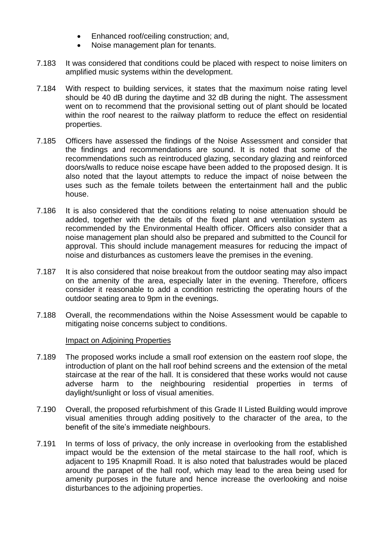- Enhanced roof/ceiling construction; and,
- Noise management plan for tenants.
- 7.183 It was considered that conditions could be placed with respect to noise limiters on amplified music systems within the development.
- 7.184 With respect to building services, it states that the maximum noise rating level should be 40 dB during the daytime and 32 dB during the night. The assessment went on to recommend that the provisional setting out of plant should be located within the roof nearest to the railway platform to reduce the effect on residential properties.
- 7.185 Officers have assessed the findings of the Noise Assessment and consider that the findings and recommendations are sound. It is noted that some of the recommendations such as reintroduced glazing, secondary glazing and reinforced doors/walls to reduce noise escape have been added to the proposed design. It is also noted that the layout attempts to reduce the impact of noise between the uses such as the female toilets between the entertainment hall and the public house.
- 7.186 It is also considered that the conditions relating to noise attenuation should be added, together with the details of the fixed plant and ventilation system as recommended by the Environmental Health officer. Officers also consider that a noise management plan should also be prepared and submitted to the Council for approval. This should include management measures for reducing the impact of noise and disturbances as customers leave the premises in the evening.
- 7.187 It is also considered that noise breakout from the outdoor seating may also impact on the amenity of the area, especially later in the evening. Therefore, officers consider it reasonable to add a condition restricting the operating hours of the outdoor seating area to 9pm in the evenings.
- 7.188 Overall, the recommendations within the Noise Assessment would be capable to mitigating noise concerns subject to conditions.

#### Impact on Adjoining Properties

- 7.189 The proposed works include a small roof extension on the eastern roof slope, the introduction of plant on the hall roof behind screens and the extension of the metal staircase at the rear of the hall. It is considered that these works would not cause adverse harm to the neighbouring residential properties in terms of daylight/sunlight or loss of visual amenities.
- 7.190 Overall, the proposed refurbishment of this Grade II Listed Building would improve visual amenities through adding positively to the character of the area, to the benefit of the site's immediate neighbours.
- 7.191 In terms of loss of privacy, the only increase in overlooking from the established impact would be the extension of the metal staircase to the hall roof, which is adjacent to 195 Knapmill Road. It is also noted that balustrades would be placed around the parapet of the hall roof, which may lead to the area being used for amenity purposes in the future and hence increase the overlooking and noise disturbances to the adjoining properties.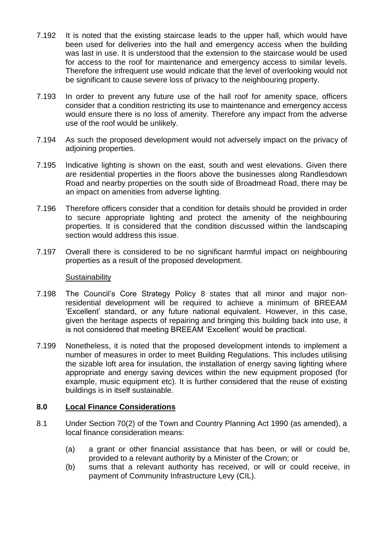- 7.192 It is noted that the existing staircase leads to the upper hall, which would have been used for deliveries into the hall and emergency access when the building was last in use. It is understood that the extension to the staircase would be used for access to the roof for maintenance and emergency access to similar levels. Therefore the infrequent use would indicate that the level of overlooking would not be significant to cause severe loss of privacy to the neighbouring property.
- 7.193 In order to prevent any future use of the hall roof for amenity space, officers consider that a condition restricting its use to maintenance and emergency access would ensure there is no loss of amenity. Therefore any impact from the adverse use of the roof would be unlikely.
- 7.194 As such the proposed development would not adversely impact on the privacy of adjoining properties.
- 7.195 Indicative lighting is shown on the east, south and west elevations. Given there are residential properties in the floors above the businesses along Randlesdown Road and nearby properties on the south side of Broadmead Road, there may be an impact on amenities from adverse lighting.
- 7.196 Therefore officers consider that a condition for details should be provided in order to secure appropriate lighting and protect the amenity of the neighbouring properties. It is considered that the condition discussed within the landscaping section would address this issue.
- 7.197 Overall there is considered to be no significant harmful impact on neighbouring properties as a result of the proposed development.

#### **Sustainability**

- 7.198 The Council's Core Strategy Policy 8 states that all minor and major nonresidential development will be required to achieve a minimum of BREEAM 'Excellent' standard, or any future national equivalent. However, in this case, given the heritage aspects of repairing and bringing this building back into use, it is not considered that meeting BREEAM 'Excellent' would be practical.
- 7.199 Nonetheless, it is noted that the proposed development intends to implement a number of measures in order to meet Building Regulations. This includes utilising the sizable loft area for insulation, the installation of energy saving lighting where appropriate and energy saving devices within the new equipment proposed (for example, music equipment etc). It is further considered that the reuse of existing buildings is in itself sustainable.

## **8.0 Local Finance Considerations**

- 8.1 Under Section 70(2) of the Town and Country Planning Act 1990 (as amended), a local finance consideration means:
	- (a) a grant or other financial assistance that has been, or will or could be, provided to a relevant authority by a Minister of the Crown; or
	- (b) sums that a relevant authority has received, or will or could receive, in payment of Community Infrastructure Levy (CIL).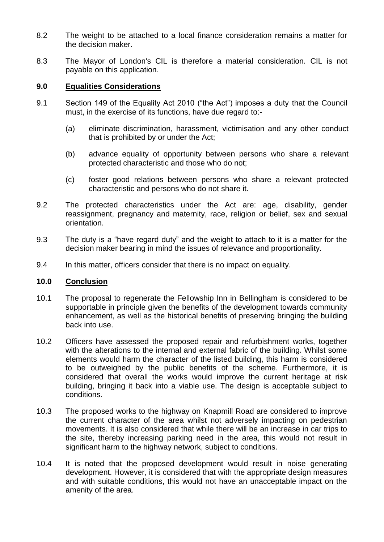- 8.2 The weight to be attached to a local finance consideration remains a matter for the decision maker.
- 8.3 The Mayor of London's CIL is therefore a material consideration. CIL is not payable on this application.

## **9.0 Equalities Considerations**

- 9.1 Section 149 of the Equality Act 2010 ("the Act") imposes a duty that the Council must, in the exercise of its functions, have due regard to:-
	- (a) eliminate discrimination, harassment, victimisation and any other conduct that is prohibited by or under the Act;
	- (b) advance equality of opportunity between persons who share a relevant protected characteristic and those who do not;
	- (c) foster good relations between persons who share a relevant protected characteristic and persons who do not share it.
- 9.2 The protected characteristics under the Act are: age, disability, gender reassignment, pregnancy and maternity, race, religion or belief, sex and sexual orientation.
- 9.3 The duty is a "have regard duty" and the weight to attach to it is a matter for the decision maker bearing in mind the issues of relevance and proportionality.
- 9.4 In this matter, officers consider that there is no impact on equality.

## **10.0 Conclusion**

- 10.1 The proposal to regenerate the Fellowship Inn in Bellingham is considered to be supportable in principle given the benefits of the development towards community enhancement, as well as the historical benefits of preserving bringing the building back into use.
- 10.2 Officers have assessed the proposed repair and refurbishment works, together with the alterations to the internal and external fabric of the building. Whilst some elements would harm the character of the listed building, this harm is considered to be outweighed by the public benefits of the scheme. Furthermore, it is considered that overall the works would improve the current heritage at risk building, bringing it back into a viable use. The design is acceptable subject to conditions.
- 10.3 The proposed works to the highway on Knapmill Road are considered to improve the current character of the area whilst not adversely impacting on pedestrian movements. It is also considered that while there will be an increase in car trips to the site, thereby increasing parking need in the area, this would not result in significant harm to the highway network, subject to conditions.
- 10.4 It is noted that the proposed development would result in noise generating development. However, it is considered that with the appropriate design measures and with suitable conditions, this would not have an unacceptable impact on the amenity of the area.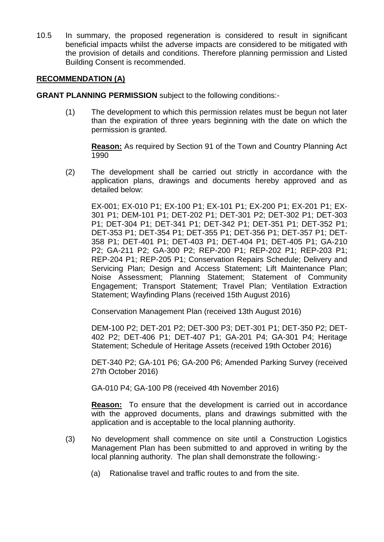10.5 In summary, the proposed regeneration is considered to result in significant beneficial impacts whilst the adverse impacts are considered to be mitigated with the provision of details and conditions. Therefore planning permission and Listed Building Consent is recommended.

## **RECOMMENDATION (A)**

**GRANT PLANNING PERMISSION** subject to the following conditions:-

(1) The development to which this permission relates must be begun not later than the expiration of three years beginning with the date on which the permission is granted.

**Reason:** As required by Section 91 of the Town and Country Planning Act 1990

(2) The development shall be carried out strictly in accordance with the application plans, drawings and documents hereby approved and as detailed below:

EX-001; EX-010 P1; EX-100 P1; EX-101 P1; EX-200 P1; EX-201 P1; EX-301 P1; DEM-101 P1; DET-202 P1; DET-301 P2; DET-302 P1; DET-303 P1; DET-304 P1; DET-341 P1; DET-342 P1; DET-351 P1; DET-352 P1; DET-353 P1; DET-354 P1; DET-355 P1; DET-356 P1; DET-357 P1; DET-358 P1; DET-401 P1; DET-403 P1; DET-404 P1; DET-405 P1; GA-210 P2; GA-211 P2; GA-300 P2; REP-200 P1; REP-202 P1; REP-203 P1; REP-204 P1; REP-205 P1; Conservation Repairs Schedule; Delivery and Servicing Plan; Design and Access Statement; Lift Maintenance Plan; Noise Assessment; Planning Statement; Statement of Community Engagement; Transport Statement; Travel Plan; Ventilation Extraction Statement; Wayfinding Plans (received 15th August 2016)

Conservation Management Plan (received 13th August 2016)

DEM-100 P2; DET-201 P2; DET-300 P3; DET-301 P1; DET-350 P2; DET-402 P2; DET-406 P1; DET-407 P1; GA-201 P4; GA-301 P4; Heritage Statement; Schedule of Heritage Assets (received 19th October 2016)

DET-340 P2; GA-101 P6; GA-200 P6; Amended Parking Survey (received 27th October 2016)

GA-010 P4; GA-100 P8 (received 4th November 2016)

**Reason:** To ensure that the development is carried out in accordance with the approved documents, plans and drawings submitted with the application and is acceptable to the local planning authority.

- (3) No development shall commence on site until a Construction Logistics Management Plan has been submitted to and approved in writing by the local planning authority. The plan shall demonstrate the following:-
	- (a) Rationalise travel and traffic routes to and from the site.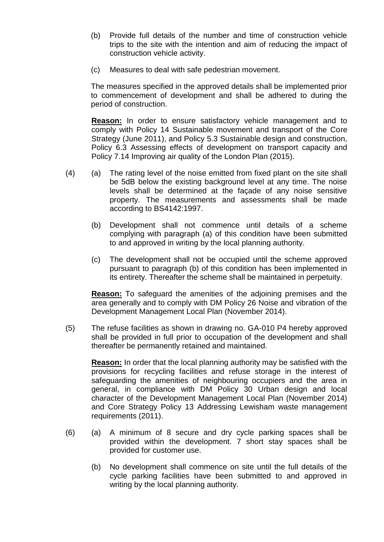- (b) Provide full details of the number and time of construction vehicle trips to the site with the intention and aim of reducing the impact of construction vehicle activity.
- (c) Measures to deal with safe pedestrian movement.

The measures specified in the approved details shall be implemented prior to commencement of development and shall be adhered to during the period of construction.

**Reason:** In order to ensure satisfactory vehicle management and to comply with Policy 14 Sustainable movement and transport of the Core Strategy (June 2011), and Policy 5.3 Sustainable design and construction, Policy 6.3 Assessing effects of development on transport capacity and Policy 7.14 Improving air quality of the London Plan (2015).

- (4) (a) The rating level of the noise emitted from fixed plant on the site shall be 5dB below the existing background level at any time. The noise levels shall be determined at the façade of any noise sensitive property. The measurements and assessments shall be made according to BS4142:1997.
	- (b) Development shall not commence until details of a scheme complying with paragraph (a) of this condition have been submitted to and approved in writing by the local planning authority.
	- (c) The development shall not be occupied until the scheme approved pursuant to paragraph (b) of this condition has been implemented in its entirety. Thereafter the scheme shall be maintained in perpetuity.

**Reason:** To safeguard the amenities of the adjoining premises and the area generally and to comply with DM Policy 26 Noise and vibration of the Development Management Local Plan (November 2014).

(5) The refuse facilities as shown in drawing no. GA-010 P4 hereby approved shall be provided in full prior to occupation of the development and shall thereafter be permanently retained and maintained.

**Reason:** In order that the local planning authority may be satisfied with the provisions for recycling facilities and refuse storage in the interest of safeguarding the amenities of neighbouring occupiers and the area in general, in compliance with DM Policy 30 Urban design and local character of the Development Management Local Plan (November 2014) and Core Strategy Policy 13 Addressing Lewisham waste management requirements (2011).

- (6) (a) A minimum of 8 secure and dry cycle parking spaces shall be provided within the development. 7 short stay spaces shall be provided for customer use.
	- (b) No development shall commence on site until the full details of the cycle parking facilities have been submitted to and approved in writing by the local planning authority.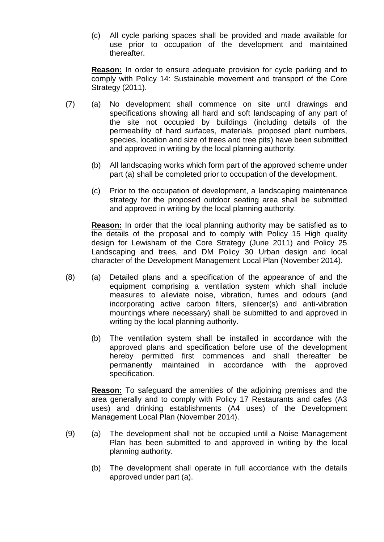(c) All cycle parking spaces shall be provided and made available for use prior to occupation of the development and maintained thereafter.

**Reason:** In order to ensure adequate provision for cycle parking and to comply with Policy 14: Sustainable movement and transport of the Core Strategy (2011).

- (7) (a) No development shall commence on site until drawings and specifications showing all hard and soft landscaping of any part of the site not occupied by buildings (including details of the permeability of hard surfaces, materials, proposed plant numbers, species, location and size of trees and tree pits) have been submitted and approved in writing by the local planning authority.
	- (b) All landscaping works which form part of the approved scheme under part (a) shall be completed prior to occupation of the development.
	- (c) Prior to the occupation of development, a landscaping maintenance strategy for the proposed outdoor seating area shall be submitted and approved in writing by the local planning authority.

**Reason:** In order that the local planning authority may be satisfied as to the details of the proposal and to comply with Policy 15 High quality design for Lewisham of the Core Strategy (June 2011) and Policy 25 Landscaping and trees, and DM Policy 30 Urban design and local character of the Development Management Local Plan (November 2014).

- (8) (a) Detailed plans and a specification of the appearance of and the equipment comprising a ventilation system which shall include measures to alleviate noise, vibration, fumes and odours (and incorporating active carbon filters, silencer(s) and anti-vibration mountings where necessary) shall be submitted to and approved in writing by the local planning authority.
	- (b) The ventilation system shall be installed in accordance with the approved plans and specification before use of the development hereby permitted first commences and shall thereafter be permanently maintained in accordance with the approved specification.

**Reason:** To safeguard the amenities of the adjoining premises and the area generally and to comply with Policy 17 Restaurants and cafes (A3 uses) and drinking establishments (A4 uses) of the Development Management Local Plan (November 2014).

- (9) (a) The development shall not be occupied until a Noise Management Plan has been submitted to and approved in writing by the local planning authority.
	- (b) The development shall operate in full accordance with the details approved under part (a).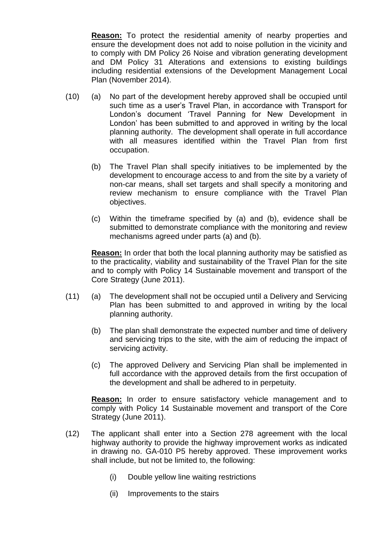**Reason:** To protect the residential amenity of nearby properties and ensure the development does not add to noise pollution in the vicinity and to comply with DM Policy 26 Noise and vibration generating development and DM Policy 31 Alterations and extensions to existing buildings including residential extensions of the Development Management Local Plan (November 2014).

- (10) (a) No part of the development hereby approved shall be occupied until such time as a user's Travel Plan, in accordance with Transport for London's document 'Travel Panning for New Development in London' has been submitted to and approved in writing by the local planning authority. The development shall operate in full accordance with all measures identified within the Travel Plan from first occupation.
	- (b) The Travel Plan shall specify initiatives to be implemented by the development to encourage access to and from the site by a variety of non-car means, shall set targets and shall specify a monitoring and review mechanism to ensure compliance with the Travel Plan objectives.
	- (c) Within the timeframe specified by (a) and (b), evidence shall be submitted to demonstrate compliance with the monitoring and review mechanisms agreed under parts (a) and (b).

**Reason:** In order that both the local planning authority may be satisfied as to the practicality, viability and sustainability of the Travel Plan for the site and to comply with Policy 14 Sustainable movement and transport of the Core Strategy (June 2011).

- (11) (a) The development shall not be occupied until a Delivery and Servicing Plan has been submitted to and approved in writing by the local planning authority.
	- (b) The plan shall demonstrate the expected number and time of delivery and servicing trips to the site, with the aim of reducing the impact of servicing activity.
	- (c) The approved Delivery and Servicing Plan shall be implemented in full accordance with the approved details from the first occupation of the development and shall be adhered to in perpetuity.

**Reason:** In order to ensure satisfactory vehicle management and to comply with Policy 14 Sustainable movement and transport of the Core Strategy (June 2011).

- (12) The applicant shall enter into a Section 278 agreement with the local highway authority to provide the highway improvement works as indicated in drawing no. GA-010 P5 hereby approved. These improvement works shall include, but not be limited to, the following:
	- (i) Double yellow line waiting restrictions
	- (ii) Improvements to the stairs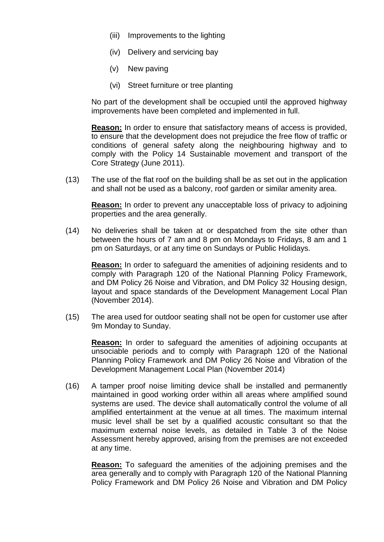- (iii) Improvements to the lighting
- (iv) Delivery and servicing bay
- (v) New paving
- (vi) Street furniture or tree planting

No part of the development shall be occupied until the approved highway improvements have been completed and implemented in full.

**Reason:** In order to ensure that satisfactory means of access is provided, to ensure that the development does not prejudice the free flow of traffic or conditions of general safety along the neighbouring highway and to comply with the Policy 14 Sustainable movement and transport of the Core Strategy (June 2011).

(13) The use of the flat roof on the building shall be as set out in the application and shall not be used as a balcony, roof garden or similar amenity area.

**Reason:** In order to prevent any unacceptable loss of privacy to adjoining properties and the area generally.

(14) No deliveries shall be taken at or despatched from the site other than between the hours of 7 am and 8 pm on Mondays to Fridays, 8 am and 1 pm on Saturdays, or at any time on Sundays or Public Holidays.

**Reason:** In order to safeguard the amenities of adjoining residents and to comply with Paragraph 120 of the National Planning Policy Framework, and DM Policy 26 Noise and Vibration, and DM Policy 32 Housing design, layout and space standards of the Development Management Local Plan (November 2014).

(15) The area used for outdoor seating shall not be open for customer use after 9m Monday to Sunday.

**Reason:** In order to safeguard the amenities of adjoining occupants at unsociable periods and to comply with Paragraph 120 of the National Planning Policy Framework and DM Policy 26 Noise and Vibration of the Development Management Local Plan (November 2014)

(16) A tamper proof noise limiting device shall be installed and permanently maintained in good working order within all areas where amplified sound systems are used. The device shall automatically control the volume of all amplified entertainment at the venue at all times. The maximum internal music level shall be set by a qualified acoustic consultant so that the maximum external noise levels, as detailed in Table 3 of the Noise Assessment hereby approved, arising from the premises are not exceeded at any time.

**Reason:** To safeguard the amenities of the adjoining premises and the area generally and to comply with Paragraph 120 of the National Planning Policy Framework and DM Policy 26 Noise and Vibration and DM Policy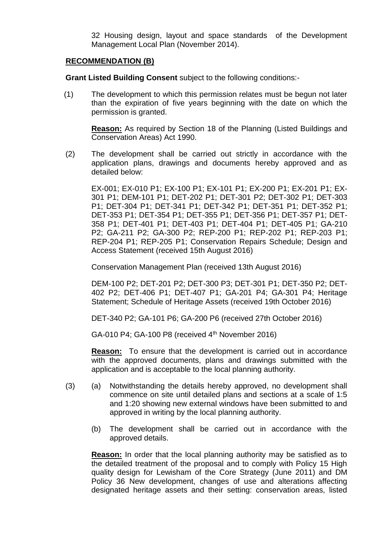32 Housing design, layout and space standards of the Development Management Local Plan (November 2014).

### **RECOMMENDATION (B)**

**Grant Listed Building Consent** subject to the following conditions:-

(1) The development to which this permission relates must be begun not later than the expiration of five years beginning with the date on which the permission is granted.

**Reason:** As required by Section 18 of the Planning (Listed Buildings and Conservation Areas) Act 1990.

(2) The development shall be carried out strictly in accordance with the application plans, drawings and documents hereby approved and as detailed below:

EX-001; EX-010 P1; EX-100 P1; EX-101 P1; EX-200 P1; EX-201 P1; EX-301 P1; DEM-101 P1; DET-202 P1; DET-301 P2; DET-302 P1; DET-303 P1; DET-304 P1; DET-341 P1; DET-342 P1; DET-351 P1; DET-352 P1; DET-353 P1; DET-354 P1; DET-355 P1; DET-356 P1; DET-357 P1; DET-358 P1; DET-401 P1; DET-403 P1; DET-404 P1; DET-405 P1; GA-210 P2; GA-211 P2; GA-300 P2; REP-200 P1; REP-202 P1; REP-203 P1; REP-204 P1; REP-205 P1; Conservation Repairs Schedule; Design and Access Statement (received 15th August 2016)

Conservation Management Plan (received 13th August 2016)

DEM-100 P2; DET-201 P2; DET-300 P3; DET-301 P1; DET-350 P2; DET-402 P2; DET-406 P1; DET-407 P1; GA-201 P4; GA-301 P4; Heritage Statement; Schedule of Heritage Assets (received 19th October 2016)

DET-340 P2; GA-101 P6; GA-200 P6 (received 27th October 2016)

GA-010 P4; GA-100 P8 (received  $4<sup>th</sup>$  November 2016)

**Reason:** To ensure that the development is carried out in accordance with the approved documents, plans and drawings submitted with the application and is acceptable to the local planning authority.

- (3) (a) Notwithstanding the details hereby approved, no development shall commence on site until detailed plans and sections at a scale of 1:5 and 1:20 showing new external windows have been submitted to and approved in writing by the local planning authority.
	- (b) The development shall be carried out in accordance with the approved details.

**Reason:** In order that the local planning authority may be satisfied as to the detailed treatment of the proposal and to comply with Policy 15 High quality design for Lewisham of the Core Strategy (June 2011) and DM Policy 36 New development, changes of use and alterations affecting designated heritage assets and their setting: conservation areas, listed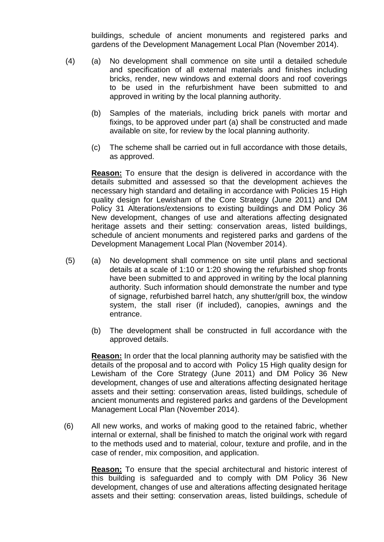buildings, schedule of ancient monuments and registered parks and gardens of the Development Management Local Plan (November 2014).

- (4) (a) No development shall commence on site until a detailed schedule and specification of all external materials and finishes including bricks, render, new windows and external doors and roof coverings to be used in the refurbishment have been submitted to and approved in writing by the local planning authority.
	- (b) Samples of the materials, including brick panels with mortar and fixings, to be approved under part (a) shall be constructed and made available on site, for review by the local planning authority.
	- (c) The scheme shall be carried out in full accordance with those details, as approved.

**Reason:** To ensure that the design is delivered in accordance with the details submitted and assessed so that the development achieves the necessary high standard and detailing in accordance with Policies 15 High quality design for Lewisham of the Core Strategy (June 2011) and DM Policy 31 Alterations/extensions to existing buildings and DM Policy 36 New development, changes of use and alterations affecting designated heritage assets and their setting: conservation areas, listed buildings, schedule of ancient monuments and registered parks and gardens of the Development Management Local Plan (November 2014).

- (5) (a) No development shall commence on site until plans and sectional details at a scale of 1:10 or 1:20 showing the refurbished shop fronts have been submitted to and approved in writing by the local planning authority. Such information should demonstrate the number and type of signage, refurbished barrel hatch, any shutter/grill box, the window system, the stall riser (if included), canopies, awnings and the entrance.
	- (b) The development shall be constructed in full accordance with the approved details.

**Reason:** In order that the local planning authority may be satisfied with the details of the proposal and to accord with Policy 15 High quality design for Lewisham of the Core Strategy (June 2011) and DM Policy 36 New development, changes of use and alterations affecting designated heritage assets and their setting: conservation areas, listed buildings, schedule of ancient monuments and registered parks and gardens of the Development Management Local Plan (November 2014).

(6) All new works, and works of making good to the retained fabric, whether internal or external, shall be finished to match the original work with regard to the methods used and to material, colour, texture and profile, and in the case of render, mix composition, and application.

**Reason:** To ensure that the special architectural and historic interest of this building is safeguarded and to comply with DM Policy 36 New development, changes of use and alterations affecting designated heritage assets and their setting: conservation areas, listed buildings, schedule of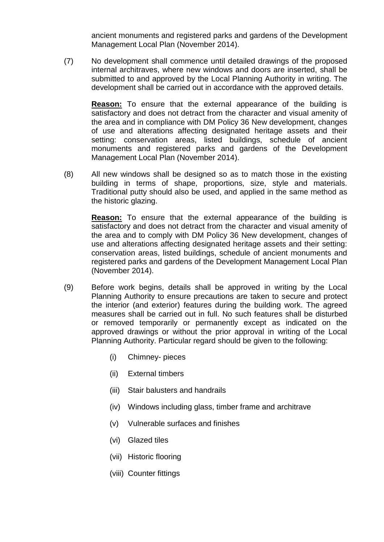ancient monuments and registered parks and gardens of the Development Management Local Plan (November 2014).

(7) No development shall commence until detailed drawings of the proposed internal architraves, where new windows and doors are inserted, shall be submitted to and approved by the Local Planning Authority in writing. The development shall be carried out in accordance with the approved details.

**Reason:** To ensure that the external appearance of the building is satisfactory and does not detract from the character and visual amenity of the area and in compliance with DM Policy 36 New development, changes of use and alterations affecting designated heritage assets and their setting: conservation areas, listed buildings, schedule of ancient monuments and registered parks and gardens of the Development Management Local Plan (November 2014).

(8) All new windows shall be designed so as to match those in the existing building in terms of shape, proportions, size, style and materials. Traditional putty should also be used, and applied in the same method as the historic glazing.

**Reason:** To ensure that the external appearance of the building is satisfactory and does not detract from the character and visual amenity of the area and to comply with DM Policy 36 New development, changes of use and alterations affecting designated heritage assets and their setting: conservation areas, listed buildings, schedule of ancient monuments and registered parks and gardens of the Development Management Local Plan (November 2014).

- (9) Before work begins, details shall be approved in writing by the Local Planning Authority to ensure precautions are taken to secure and protect the interior (and exterior) features during the building work. The agreed measures shall be carried out in full. No such features shall be disturbed or removed temporarily or permanently except as indicated on the approved drawings or without the prior approval in writing of the Local Planning Authority. Particular regard should be given to the following:
	- (i) Chimney- pieces
	- (ii) External timbers
	- (iii) Stair balusters and handrails
	- (iv) Windows including glass, timber frame and architrave
	- (v) Vulnerable surfaces and finishes
	- (vi) Glazed tiles
	- (vii) Historic flooring
	- (viii) Counter fittings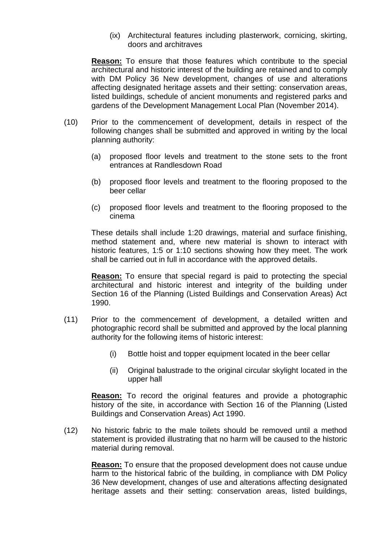(ix) Architectural features including plasterwork, cornicing, skirting, doors and architraves

**Reason:** To ensure that those features which contribute to the special architectural and historic interest of the building are retained and to comply with DM Policy 36 New development, changes of use and alterations affecting designated heritage assets and their setting: conservation areas, listed buildings, schedule of ancient monuments and registered parks and gardens of the Development Management Local Plan (November 2014).

- (10) Prior to the commencement of development, details in respect of the following changes shall be submitted and approved in writing by the local planning authority:
	- (a) proposed floor levels and treatment to the stone sets to the front entrances at Randlesdown Road
	- (b) proposed floor levels and treatment to the flooring proposed to the beer cellar
	- (c) proposed floor levels and treatment to the flooring proposed to the cinema

These details shall include 1:20 drawings, material and surface finishing, method statement and, where new material is shown to interact with historic features, 1:5 or 1:10 sections showing how they meet. The work shall be carried out in full in accordance with the approved details.

**Reason:** To ensure that special regard is paid to protecting the special architectural and historic interest and integrity of the building under Section 16 of the Planning (Listed Buildings and Conservation Areas) Act 1990.

- (11) Prior to the commencement of development, a detailed written and photographic record shall be submitted and approved by the local planning authority for the following items of historic interest:
	- (i) Bottle hoist and topper equipment located in the beer cellar
	- (ii) Original balustrade to the original circular skylight located in the upper hall

**Reason:** To record the original features and provide a photographic history of the site, in accordance with Section 16 of the Planning (Listed Buildings and Conservation Areas) Act 1990.

(12) No historic fabric to the male toilets should be removed until a method statement is provided illustrating that no harm will be caused to the historic material during removal.

**Reason:** To ensure that the proposed development does not cause undue harm to the historical fabric of the building, in compliance with DM Policy 36 New development, changes of use and alterations affecting designated heritage assets and their setting: conservation areas, listed buildings,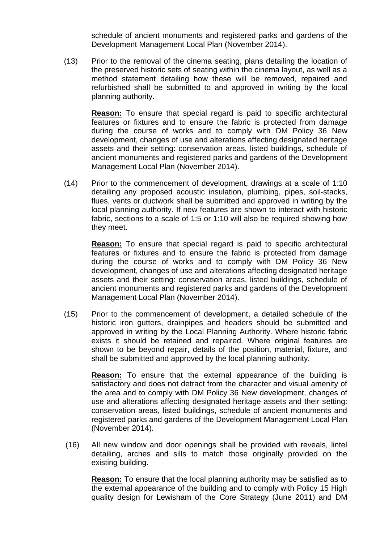schedule of ancient monuments and registered parks and gardens of the Development Management Local Plan (November 2014).

(13) Prior to the removal of the cinema seating, plans detailing the location of the preserved historic sets of seating within the cinema layout, as well as a method statement detailing how these will be removed, repaired and refurbished shall be submitted to and approved in writing by the local planning authority.

**Reason:** To ensure that special regard is paid to specific architectural features or fixtures and to ensure the fabric is protected from damage during the course of works and to comply with DM Policy 36 New development, changes of use and alterations affecting designated heritage assets and their setting: conservation areas, listed buildings, schedule of ancient monuments and registered parks and gardens of the Development Management Local Plan (November 2014).

(14) Prior to the commencement of development, drawings at a scale of 1:10 detailing any proposed acoustic insulation, plumbing, pipes, soil-stacks, flues, vents or ductwork shall be submitted and approved in writing by the local planning authority. If new features are shown to interact with historic fabric, sections to a scale of 1:5 or 1:10 will also be required showing how they meet.

**Reason:** To ensure that special regard is paid to specific architectural features or fixtures and to ensure the fabric is protected from damage during the course of works and to comply with DM Policy 36 New development, changes of use and alterations affecting designated heritage assets and their setting: conservation areas, listed buildings, schedule of ancient monuments and registered parks and gardens of the Development Management Local Plan (November 2014).

(15) Prior to the commencement of development, a detailed schedule of the historic iron gutters, drainpipes and headers should be submitted and approved in writing by the Local Planning Authority. Where historic fabric exists it should be retained and repaired. Where original features are shown to be beyond repair, details of the position, material, fixture, and shall be submitted and approved by the local planning authority.

**Reason:** To ensure that the external appearance of the building is satisfactory and does not detract from the character and visual amenity of the area and to comply with DM Policy 36 New development, changes of use and alterations affecting designated heritage assets and their setting: conservation areas, listed buildings, schedule of ancient monuments and registered parks and gardens of the Development Management Local Plan (November 2014).

(16) All new window and door openings shall be provided with reveals, lintel detailing, arches and sills to match those originally provided on the existing building.

**Reason:** To ensure that the local planning authority may be satisfied as to the external appearance of the building and to comply with Policy 15 High quality design for Lewisham of the Core Strategy (June 2011) and DM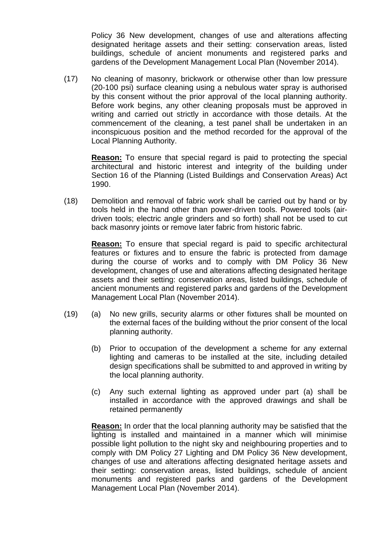Policy 36 New development, changes of use and alterations affecting designated heritage assets and their setting: conservation areas, listed buildings, schedule of ancient monuments and registered parks and gardens of the Development Management Local Plan (November 2014).

(17) No cleaning of masonry, brickwork or otherwise other than low pressure (20-100 psi) surface cleaning using a nebulous water spray is authorised by this consent without the prior approval of the local planning authority. Before work begins, any other cleaning proposals must be approved in writing and carried out strictly in accordance with those details. At the commencement of the cleaning, a test panel shall be undertaken in an inconspicuous position and the method recorded for the approval of the Local Planning Authority.

**Reason:** To ensure that special regard is paid to protecting the special architectural and historic interest and integrity of the building under Section 16 of the Planning (Listed Buildings and Conservation Areas) Act 1990.

(18) Demolition and removal of fabric work shall be carried out by hand or by tools held in the hand other than power-driven tools. Powered tools (airdriven tools; electric angle grinders and so forth) shall not be used to cut back masonry joints or remove later fabric from historic fabric.

**Reason:** To ensure that special regard is paid to specific architectural features or fixtures and to ensure the fabric is protected from damage during the course of works and to comply with DM Policy 36 New development, changes of use and alterations affecting designated heritage assets and their setting: conservation areas, listed buildings, schedule of ancient monuments and registered parks and gardens of the Development Management Local Plan (November 2014).

- (19) (a) No new grills, security alarms or other fixtures shall be mounted on the external faces of the building without the prior consent of the local planning authority.
	- (b) Prior to occupation of the development a scheme for any external lighting and cameras to be installed at the site, including detailed design specifications shall be submitted to and approved in writing by the local planning authority.
	- (c) Any such external lighting as approved under part (a) shall be installed in accordance with the approved drawings and shall be retained permanently

**Reason:** In order that the local planning authority may be satisfied that the lighting is installed and maintained in a manner which will minimise possible light pollution to the night sky and neighbouring properties and to comply with DM Policy 27 Lighting and DM Policy 36 New development, changes of use and alterations affecting designated heritage assets and their setting: conservation areas, listed buildings, schedule of ancient monuments and registered parks and gardens of the Development Management Local Plan (November 2014).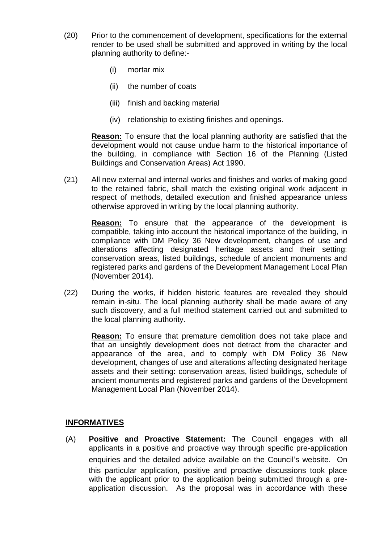- (20) Prior to the commencement of development, specifications for the external render to be used shall be submitted and approved in writing by the local planning authority to define:-
	- (i) mortar mix
	- (ii) the number of coats
	- (iii) finish and backing material
	- (iv) relationship to existing finishes and openings.

**Reason:** To ensure that the local planning authority are satisfied that the development would not cause undue harm to the historical importance of the building, in compliance with Section 16 of the Planning (Listed Buildings and Conservation Areas) Act 1990.

(21) All new external and internal works and finishes and works of making good to the retained fabric, shall match the existing original work adjacent in respect of methods, detailed execution and finished appearance unless otherwise approved in writing by the local planning authority.

**Reason:** To ensure that the appearance of the development is compatible, taking into account the historical importance of the building, in compliance with DM Policy 36 New development, changes of use and alterations affecting designated heritage assets and their setting: conservation areas, listed buildings, schedule of ancient monuments and registered parks and gardens of the Development Management Local Plan (November 2014).

(22) During the works, if hidden historic features are revealed they should remain in-situ. The local planning authority shall be made aware of any such discovery, and a full method statement carried out and submitted to the local planning authority.

**Reason:** To ensure that premature demolition does not take place and that an unsightly development does not detract from the character and appearance of the area, and to comply with DM Policy 36 New development, changes of use and alterations affecting designated heritage assets and their setting: conservation areas, listed buildings, schedule of ancient monuments and registered parks and gardens of the Development Management Local Plan (November 2014).

# **INFORMATIVES**

(A) **Positive and Proactive Statement:** The Council engages with all applicants in a positive and proactive way through specific pre-application enquiries and the detailed advice available on the Council's website. On this particular application, positive and proactive discussions took place with the applicant prior to the application being submitted through a preapplication discussion. As the proposal was in accordance with these